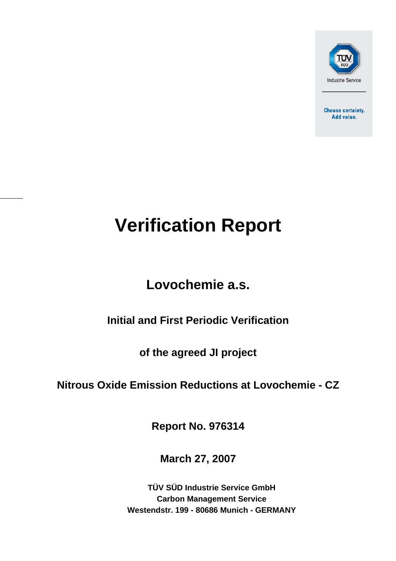

**Choose certainty.** Add value.

# **Verification Report**

## **Lovochemie a.s.**

## **Initial and First Periodic Verification**

**of the agreed JI project** 

## **Nitrous Oxide Emission Reductions at Lovochemie - CZ**

**Report No. 976314** 

**March 27, 2007**

**TÜV SÜD Industrie Service GmbH Carbon Management Service Westendstr. 199 - 80686 Munich - GERMANY**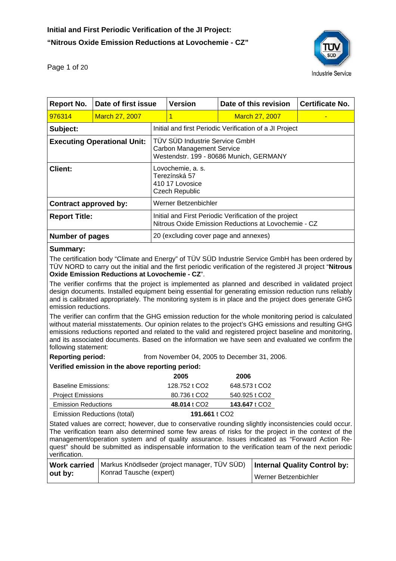

Page 1 of 20

| <b>Report No.</b>                  | Date of first issue   |                                                                                                                | <b>Version</b> | Date of this revision                                   | <b>Certificate No.</b> |
|------------------------------------|-----------------------|----------------------------------------------------------------------------------------------------------------|----------------|---------------------------------------------------------|------------------------|
| 976314                             | <b>March 27, 2007</b> |                                                                                                                | 1              | <b>March 27, 2007</b>                                   |                        |
| Subject:                           |                       |                                                                                                                |                | Initial and first Periodic Verification of a JI Project |                        |
| <b>Executing Operational Unit:</b> |                       | TÜV SÜD Industrie Service GmbH<br><b>Carbon Management Service</b><br>Westendstr. 199 - 80686 Munich, GERMANY  |                |                                                         |                        |
| <b>Client:</b>                     |                       | Lovochemie, a. s.<br>Terezínská 57<br>410 17 Lovosice<br><b>Czech Republic</b>                                 |                |                                                         |                        |
| Contract approved by:              |                       | Werner Betzenbichler                                                                                           |                |                                                         |                        |
| <b>Report Title:</b>               |                       | Initial and First Periodic Verification of the project<br>Nitrous Oxide Emission Reductions at Lovochemie - CZ |                |                                                         |                        |
| <b>Number of pages</b>             |                       | 20 (excluding cover page and annexes)                                                                          |                |                                                         |                        |
|                                    |                       |                                                                                                                |                |                                                         |                        |

#### **Summary:**

The certification body "Climate and Energy" of TÜV SÜD Industrie Service GmbH has been ordered by TÜV NORD to carry out the initial and the first periodic verification of the registered JI project "**Nitrous Oxide Emission Reductions at Lovochemie - CZ**".

The verifier confirms that the project is implemented as planned and described in validated project design documents. Installed equipment being essential for generating emission reduction runs reliably and is calibrated appropriately. The monitoring system is in place and the project does generate GHG emission reductions.

The verifier can confirm that the GHG emission reduction for the whole monitoring period is calculated without material misstatements. Our opinion relates to the project's GHG emissions and resulting GHG emissions reductions reported and related to the valid and registered project baseline and monitoring, and its associated documents. Based on the information we have seen and evaluated we confirm the following statement:

**Reporting period:** from November 04, 2005 to December 31, 2006.

#### **Verified emission in the above reporting period:**

|                            | 2005                     | 2006          |
|----------------------------|--------------------------|---------------|
| Baseline Emissions:        | 128.752 t CO2            | 648.573 t CO2 |
| <b>Project Emissions</b>   | 80.736 t CO <sub>2</sub> | 540.925 t CO2 |
| <b>Emission Reductions</b> | 48.014 t CO <sub>2</sub> | 143.647 t CO2 |
|                            |                          |               |

Emission Reductions (total) **191.661** t CO2

Stated values are correct; however, due to conservative rounding slightly inconsistencies could occur. The verification team also determined some few areas of risks for the project in the context of the management/operation system and of quality assurance. Issues indicated as "Forward Action Request" should be submitted as indispensable information to the verification team of the next periodic verification.

|         | Work carried   Markus Knödlseder (project manager, TÜV SÜD)   Internal Quality Control by: |                      |
|---------|--------------------------------------------------------------------------------------------|----------------------|
| out by: | Konrad Tausche (expert)                                                                    | Werner Betzenbichler |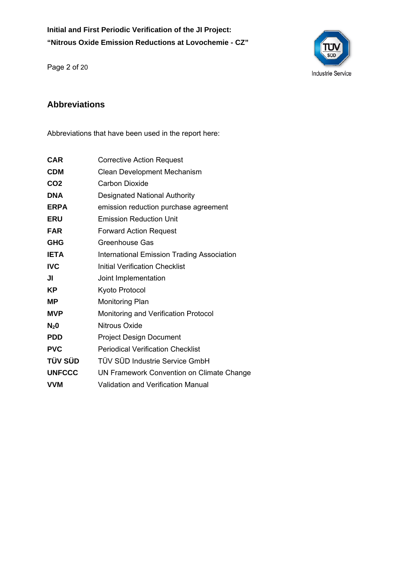**Initial and First Periodic Verification of the JI Project: "Nitrous Oxide Emission Reductions at Lovochemie - CZ"** 



Page 2 of 20

#### **Abbreviations**

Abbreviations that have been used in the report here:

| CAR             | <b>Corrective Action Request</b>                  |
|-----------------|---------------------------------------------------|
| <b>CDM</b>      | Clean Development Mechanism                       |
| CO <sub>2</sub> | Carbon Dioxide                                    |
| <b>DNA</b>      | <b>Designated National Authority</b>              |
| <b>ERPA</b>     | emission reduction purchase agreement             |
| <b>ERU</b>      | <b>Emission Reduction Unit</b>                    |
| <b>FAR</b>      | <b>Forward Action Request</b>                     |
| <b>GHG</b>      | Greenhouse Gas                                    |
| <b>IETA</b>     | <b>International Emission Trading Association</b> |
| <b>IVC</b>      | <b>Initial Verification Checklist</b>             |
| JI              | Joint Implementation                              |
| ΚP              | Kyoto Protocol                                    |
| ΜP              | <b>Monitoring Plan</b>                            |
| <b>MVP</b>      | Monitoring and Verification Protocol              |
| $N_2$ 0         | Nitrous Oxide                                     |
| <b>PDD</b>      | <b>Project Design Document</b>                    |
| <b>PVC</b>      | <b>Periodical Verification Checklist</b>          |
| TÜV SÜD         | TÜV SÜD Industrie Service GmbH                    |
| <b>UNFCCC</b>   | UN Framework Convention on Climate Change         |
| VVM             | Validation and Verification Manual                |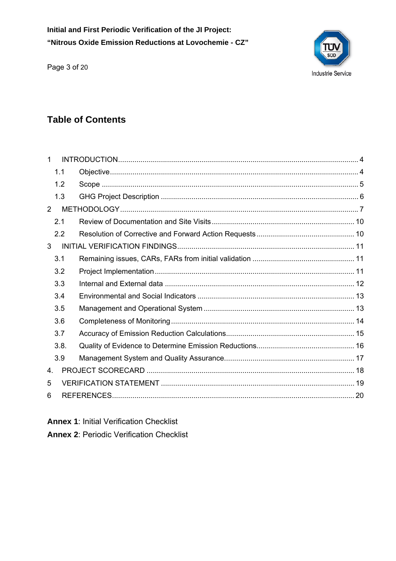Initial and First Periodic Verification of the JI Project: "Nitrous Oxide Emission Reductions at Lovochemie - CZ"

Page 3 of 20



## **Table of Contents**

| 1              |      |  |
|----------------|------|--|
|                | 1.1  |  |
|                | 1.2  |  |
|                | 1.3  |  |
| 2              |      |  |
|                | 2.1  |  |
|                | 2.2  |  |
| 3              |      |  |
|                | 3.1  |  |
|                | 3.2  |  |
|                | 3.3  |  |
|                | 3.4  |  |
|                | 3.5  |  |
|                | 3.6  |  |
|                | 3.7  |  |
|                | 3.8. |  |
|                | 3.9  |  |
| 4 <sub>1</sub> |      |  |
| 5              |      |  |
| 6              |      |  |

**Annex 1: Initial Verification Checklist** 

**Annex 2: Periodic Verification Checklist**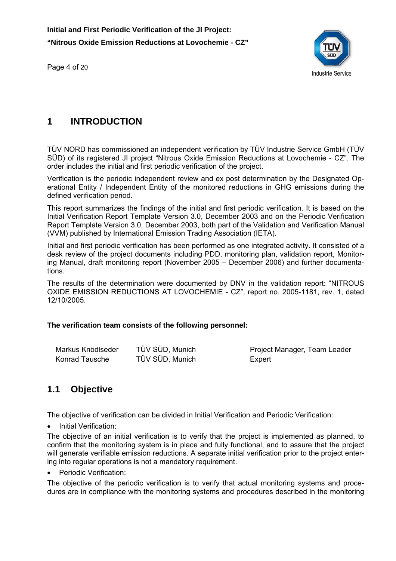Page 4 of 20



#### **1 INTRODUCTION**

TÜV NORD has commissioned an independent verification by TÜV Industrie Service GmbH (TÜV SÜD) of its registered JI project "Nitrous Oxide Emission Reductions at Lovochemie - CZ". The order includes the initial and first periodic verification of the project.

Verification is the periodic independent review and ex post determination by the Designated Operational Entity / Independent Entity of the monitored reductions in GHG emissions during the defined verification period.

This report summarizes the findings of the initial and first periodic verification. It is based on the Initial Verification Report Template Version 3.0, December 2003 and on the Periodic Verification Report Template Version 3.0, December 2003, both part of the Validation and Verification Manual (VVM) published by International Emission Trading Association (IETA).

Initial and first periodic verification has been performed as one integrated activity. It consisted of a desk review of the project documents including PDD, monitoring plan, validation report, Monitoring Manual, draft monitoring report (November 2005 – December 2006) and further documentations.

The results of the determination were documented by DNV in the validation report: "NITROUS OXIDE EMISSION REDUCTIONS AT LOVOCHEMIE - CZ", report no. 2005-1181, rev. 1, dated 12/10/2005.

#### **The verification team consists of the following personnel:**

| Markus Knödlseder | TÜV SÜD, Munich | Project Manager, Team Leader |
|-------------------|-----------------|------------------------------|
| Konrad Tausche    | TÜV SÜD, Munich | Expert                       |

#### **1.1 Objective**

The objective of verification can be divided in Initial Verification and Periodic Verification:

**Initial Verification:** 

The objective of an initial verification is to verify that the project is implemented as planned, to confirm that the monitoring system is in place and fully functional, and to assure that the project will generate verifiable emission reductions. A separate initial verification prior to the project entering into regular operations is not a mandatory requirement.

Periodic Verification:

The objective of the periodic verification is to verify that actual monitoring systems and procedures are in compliance with the monitoring systems and procedures described in the monitoring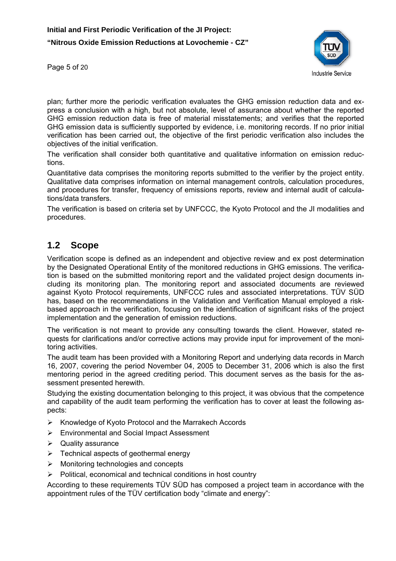

Page 5 of 20

plan; further more the periodic verification evaluates the GHG emission reduction data and express a conclusion with a high, but not absolute, level of assurance about whether the reported GHG emission reduction data is free of material misstatements; and verifies that the reported GHG emission data is sufficiently supported by evidence, i.e. monitoring records. If no prior initial verification has been carried out, the objective of the first periodic verification also includes the objectives of the initial verification.

The verification shall consider both quantitative and qualitative information on emission reductions.

Quantitative data comprises the monitoring reports submitted to the verifier by the project entity. Qualitative data comprises information on internal management controls, calculation procedures, and procedures for transfer, frequency of emissions reports, review and internal audit of calculations/data transfers.

The verification is based on criteria set by UNFCCC, the Kyoto Protocol and the JI modalities and procedures.

#### **1.2 Scope**

Verification scope is defined as an independent and objective review and ex post determination by the Designated Operational Entity of the monitored reductions in GHG emissions. The verification is based on the submitted monitoring report and the validated project design documents including its monitoring plan. The monitoring report and associated documents are reviewed against Kyoto Protocol requirements, UNFCCC rules and associated interpretations. TÜV SÜD has, based on the recommendations in the Validation and Verification Manual employed a riskbased approach in the verification, focusing on the identification of significant risks of the project implementation and the generation of emission reductions.

The verification is not meant to provide any consulting towards the client. However, stated requests for clarifications and/or corrective actions may provide input for improvement of the monitoring activities.

The audit team has been provided with a Monitoring Report and underlying data records in March 16, 2007, covering the period November 04, 2005 to December 31, 2006 which is also the first mentoring period in the agreed crediting period. This document serves as the basis for the assessment presented herewith.

Studying the existing documentation belonging to this project, it was obvious that the competence and capability of the audit team performing the verification has to cover at least the following aspects:

- ¾ Knowledge of Kyoto Protocol and the Marrakech Accords
- ¾ Environmental and Social Impact Assessment
- $\triangleright$  Quality assurance
- $\triangleright$  Technical aspects of geothermal energy
- $\triangleright$  Monitoring technologies and concepts
- $\triangleright$  Political, economical and technical conditions in host country

According to these requirements TÜV SÜD has composed a project team in accordance with the appointment rules of the TÜV certification body "climate and energy":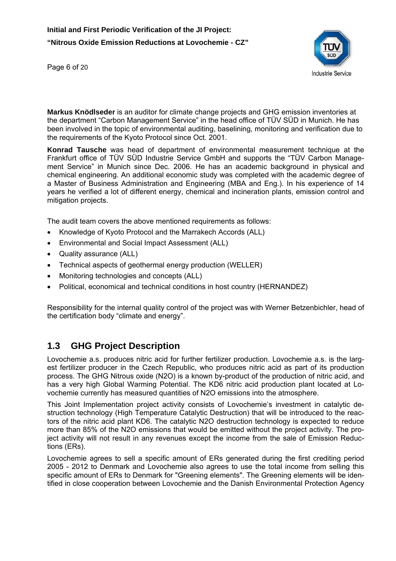

Page 6 of 20

**Markus Knödlseder** is an auditor for climate change projects and GHG emission inventories at the department "Carbon Management Service" in the head office of TÜV SÜD in Munich. He has been involved in the topic of environmental auditing, baselining, monitoring and verification due to the requirements of the Kyoto Protocol since Oct. 2001.

**Konrad Tausche** was head of department of environmental measurement technique at the Frankfurt office of TÜV SÜD Industrie Service GmbH and supports the "TÜV Carbon Management Service" in Munich since Dec. 2006. He has an academic background in physical and chemical engineering. An additional economic study was completed with the academic degree of a Master of Business Administration and Engineering (MBA and Eng.). In his experience of 14 years he verified a lot of different energy, chemical and incineration plants, emission control and mitigation projects.

The audit team covers the above mentioned requirements as follows:

- Knowledge of Kyoto Protocol and the Marrakech Accords (ALL)
- Environmental and Social Impact Assessment (ALL)
- Quality assurance (ALL)
- Technical aspects of geothermal energy production (WELLER)
- Monitoring technologies and concepts (ALL)
- Political, economical and technical conditions in host country (HERNANDEZ)

Responsibility for the internal quality control of the project was with Werner Betzenbichler, head of the certification body "climate and energy".

#### **1.3 GHG Project Description**

Lovochemie a.s. produces nitric acid for further fertilizer production. Lovochemie a.s. is the largest fertilizer producer in the Czech Republic, who produces nitric acid as part of its production process. The GHG Nitrous oxide (N2O) is a known by-product of the production of nitric acid, and has a very high Global Warming Potential. The KD6 nitric acid production plant located at Lovochemie currently has measured quantities of N2O emissions into the atmosphere.

This Joint Implementation project activity consists of Lovochemie's investment in catalytic destruction technology (High Temperature Catalytic Destruction) that will be introduced to the reactors of the nitric acid plant KD6. The catalytic N2O destruction technology is expected to reduce more than 85% of the N2O emissions that would be emitted without the project activity. The project activity will not result in any revenues except the income from the sale of Emission Reductions (ERs).

Lovochemie agrees to sell a specific amount of ERs generated during the first crediting period 2005 - 2012 to Denmark and Lovochemie also agrees to use the total income from selling this specific amount of ERs to Denmark for "Greening elements". The Greening elements will be identified in close cooperation between Lovochemie and the Danish Environmental Protection Agency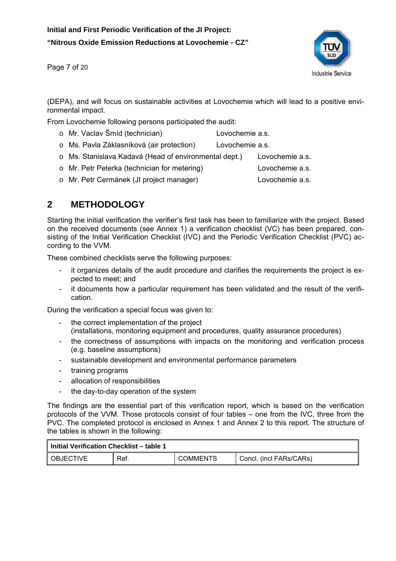Page 7 of 20



(DEPA), and will focus on sustainable activities at Lovochemie which will lead to a positive environmental impact.

From Lovochemie following persons participated the audit:

- o Mr. Vaclav Šmíd (technician) Lovochemie a.s.
- o Ms. Pavla Záklasníková (air protection) Lovochemie a.s.
- o Ms. Stanislava Kadavá (Head of environmental dept.) Lovochemie a.s.
- o Mr. Petr Peterka (technician for metering) Lovochemie a.s.
- o Mr. Petr Cermánek (JI project manager) Lovochemie a.s.

#### **2 METHODOLOGY**

Starting the initial verification the verifier's first task has been to familiarize with the project. Based on the received documents (see Annex 1) a verification checklist (VC) has been prepared, consisting of the Initial Verification Checklist (IVC) and the Periodic Verification Checklist (PVC) according to the VVM.

These combined checklists serve the following purposes:

- it organizes details of the audit procedure and clarifies the requirements the project is expected to meet; and
- it documents how a particular requirement has been validated and the result of the verification.

During the verification a special focus was given to:

- the correct implementation of the project (installations, monitoring equipment and procedures, quality assurance procedures)
- the correctness of assumptions with impacts on the monitoring and verification process (e.g. baseline assumptions)
- sustainable development and environmental performance parameters
- training programs
- allocation of responsibilities
- the day-to-day operation of the system

The findings are the essential part of this verification report, which is based on the verification protocols of the VVM. Those protocols consist of four tables – one from the IVC, three from the PVC. The completed protocol is enclosed in Annex 1 and Annex 2 to this report. The structure of the tables is shown in the following:

| l Initial Verification Checklist – table 1 |      |                 |                         |  |
|--------------------------------------------|------|-----------------|-------------------------|--|
| I OBJECTIVE                                | Ref. | <b>COMMENTS</b> | Concl. (incl FARs/CARs) |  |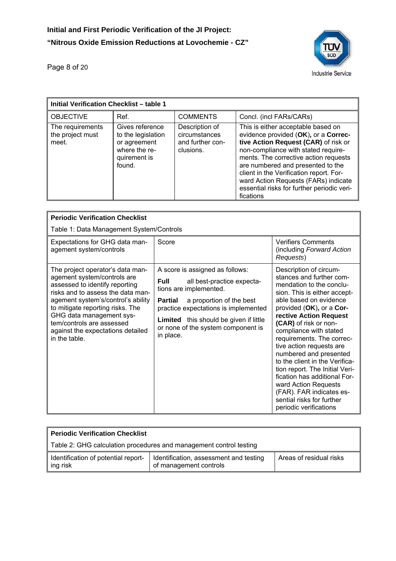

Page 8 of 20

| <b>Initial Verification Checklist - table 1</b> |                                                                                                  |                                                                  |                                                                                                                                                                                                                                                                                                                                                                                       |  |
|-------------------------------------------------|--------------------------------------------------------------------------------------------------|------------------------------------------------------------------|---------------------------------------------------------------------------------------------------------------------------------------------------------------------------------------------------------------------------------------------------------------------------------------------------------------------------------------------------------------------------------------|--|
| <b>OBJECTIVE</b>                                | Ref.                                                                                             | <b>COMMENTS</b>                                                  | Concl. (incl FARs/CARs)                                                                                                                                                                                                                                                                                                                                                               |  |
| The requirements<br>the project must<br>meet.   | Gives reference<br>to the legislation<br>or agreement<br>where the re-<br>quirement is<br>found. | Description of<br>circumstances<br>and further con-<br>clusions. | This is either acceptable based on<br>evidence provided (OK), or a Correc-<br>tive Action Request (CAR) of risk or<br>non-compliance with stated require-<br>ments. The corrective action requests<br>are numbered and presented to the<br>client in the Verification report. For-<br>ward Action Requests (FARs) indicate<br>essential risks for further periodic veri-<br>fications |  |

| <b>Periodic Verification Checklist</b>                                                                                                                                                                                                                                                                                          |                                                                                                                                                                                                                                                                                                  |                                                                                                                                                                                                                                                                                                                                                                                                                                                                                                                                                     |  |  |
|---------------------------------------------------------------------------------------------------------------------------------------------------------------------------------------------------------------------------------------------------------------------------------------------------------------------------------|--------------------------------------------------------------------------------------------------------------------------------------------------------------------------------------------------------------------------------------------------------------------------------------------------|-----------------------------------------------------------------------------------------------------------------------------------------------------------------------------------------------------------------------------------------------------------------------------------------------------------------------------------------------------------------------------------------------------------------------------------------------------------------------------------------------------------------------------------------------------|--|--|
| Table 1: Data Management System/Controls                                                                                                                                                                                                                                                                                        |                                                                                                                                                                                                                                                                                                  |                                                                                                                                                                                                                                                                                                                                                                                                                                                                                                                                                     |  |  |
| Expectations for GHG data man-<br>agement system/controls                                                                                                                                                                                                                                                                       | Score                                                                                                                                                                                                                                                                                            | <b>Verifiers Comments</b><br>(including Forward Action<br>Requests)                                                                                                                                                                                                                                                                                                                                                                                                                                                                                 |  |  |
| The project operator's data man-<br>agement system/controls are<br>assessed to identify reporting<br>risks and to assess the data man-<br>agement system's/control's ability<br>to mitigate reporting risks. The<br>GHG data management sys-<br>tem/controls are assessed<br>against the expectations detailed<br>in the table. | A score is assigned as follows:<br><b>Full</b><br>all best-practice expecta-<br>tions are implemented.<br>a proportion of the best<br><b>Partial</b><br>practice expectations is implemented<br><b>Limited</b> this should be given if little<br>or none of the system component is<br>in place. | Description of circum-<br>stances and further com-<br>mendation to the conclu-<br>sion. This is either accept-<br>able based on evidence<br>provided (OK), or a Cor-<br>rective Action Request<br>(CAR) of risk or non-<br>compliance with stated<br>requirements. The correc-<br>tive action requests are<br>numbered and presented<br>to the client in the Verifica-<br>tion report. The Initial Veri-<br>fication has additional For-<br>ward Action Requests<br>(FAR). FAR indicates es-<br>sential risks for further<br>periodic verifications |  |  |

| Periodic Verification Checklist                                    |                                                                  |                         |  |  |
|--------------------------------------------------------------------|------------------------------------------------------------------|-------------------------|--|--|
| Table 2: GHG calculation procedures and management control testing |                                                                  |                         |  |  |
| Identification of potential report-<br>ing risk                    | Identification, assessment and testing<br>of management controls | Areas of residual risks |  |  |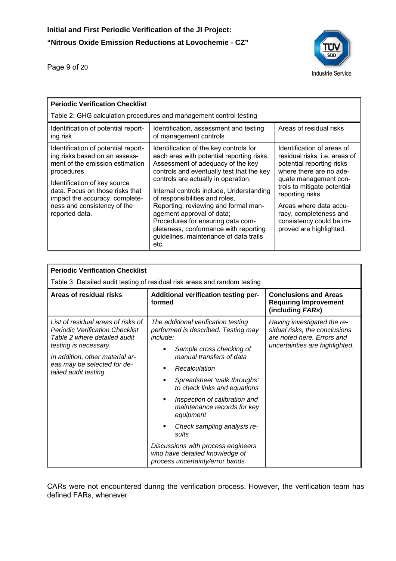Page 9 of 20



| <b>Periodic Verification Checklist</b>                                                                                                                                                                                                                                       |                                                                                                                                                                                                                                                                                                                                                                                                                                                                                                 |                                                                                                                                                                                                                                                                                                           |  |  |
|------------------------------------------------------------------------------------------------------------------------------------------------------------------------------------------------------------------------------------------------------------------------------|-------------------------------------------------------------------------------------------------------------------------------------------------------------------------------------------------------------------------------------------------------------------------------------------------------------------------------------------------------------------------------------------------------------------------------------------------------------------------------------------------|-----------------------------------------------------------------------------------------------------------------------------------------------------------------------------------------------------------------------------------------------------------------------------------------------------------|--|--|
|                                                                                                                                                                                                                                                                              | Table 2: GHG calculation procedures and management control testing                                                                                                                                                                                                                                                                                                                                                                                                                              |                                                                                                                                                                                                                                                                                                           |  |  |
| Identification of potential report-<br>ing risk                                                                                                                                                                                                                              | Identification, assessment and testing<br>of management controls                                                                                                                                                                                                                                                                                                                                                                                                                                | Areas of residual risks                                                                                                                                                                                                                                                                                   |  |  |
| Identification of potential report-<br>ing risks based on an assess-<br>ment of the emission estimation<br>procedures.<br>Identification of key source<br>data. Focus on those risks that<br>impact the accuracy, complete-<br>ness and consistency of the<br>reported data. | Identification of the key controls for<br>each area with potential reporting risks.<br>Assessment of adequacy of the key<br>controls and eventually test that the key<br>controls are actually in operation.<br>Internal controls include, Understanding<br>of responsibilities and roles,<br>Reporting, reviewing and formal man-<br>agement approval of data;<br>Procedures for ensuring data com-<br>pleteness, conformance with reporting<br>guidelines, maintenance of data trails<br>etc. | Identification of areas of<br>residual risks, i.e. areas of<br>potential reporting risks<br>where there are no ade-<br>quate management con-<br>trols to mitigate potential<br>reporting risks<br>Areas where data accu-<br>racy, completeness and<br>consistency could be im-<br>proved are highlighted. |  |  |

| <b>Periodic Verification Checklist</b>                                                                                                                                                                                           |                                                                                                                                                                                                                                                                                                                                                                                                                                                                                |                                                                                                                              |  |
|----------------------------------------------------------------------------------------------------------------------------------------------------------------------------------------------------------------------------------|--------------------------------------------------------------------------------------------------------------------------------------------------------------------------------------------------------------------------------------------------------------------------------------------------------------------------------------------------------------------------------------------------------------------------------------------------------------------------------|------------------------------------------------------------------------------------------------------------------------------|--|
|                                                                                                                                                                                                                                  | Table 3: Detailed audit testing of residual risk areas and random testing                                                                                                                                                                                                                                                                                                                                                                                                      |                                                                                                                              |  |
| Areas of residual risks                                                                                                                                                                                                          | Additional verification testing per-<br>formed                                                                                                                                                                                                                                                                                                                                                                                                                                 | <b>Conclusions and Areas</b><br><b>Requiring Improvement</b><br>(including FARs)                                             |  |
| List of residual areas of risks of<br><b>Periodic Verification Checklist</b><br>Table 2 where detailed audit<br>testing is necessary.<br>In addition, other material ar-<br>eas may be selected for de-<br>tailed audit testing. | The additional verification testing<br>performed is described. Testing may<br>include:<br>Sample cross checking of<br>٠<br>manual transfers of data<br>Recalculation<br>Spreadsheet 'walk throughs'<br>٠<br>to check links and equations<br>Inspection of calibration and<br>٠<br>maintenance records for key<br>equipment<br>Check sampling analysis re-<br>sults<br>Discussions with process engineers<br>who have detailed knowledge of<br>process uncertainty/error bands. | Having investigated the re-<br>sidual risks, the conclusions<br>are noted here. Errors and<br>uncertainties are highlighted. |  |

CARs were not encountered during the verification process. However, the verification team has defined FARs, whenever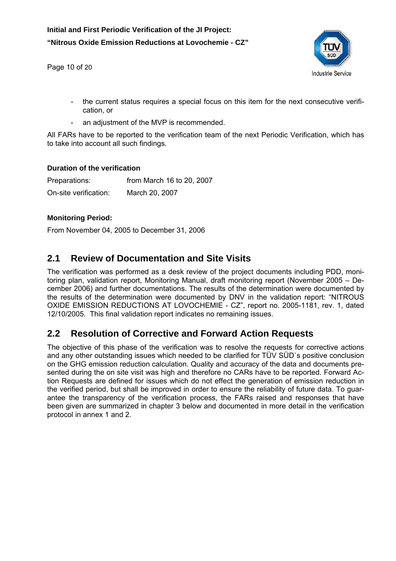Page 10 of 20

![](_page_10_Picture_2.jpeg)

- the current status requires a special focus on this item for the next consecutive verification, or
- an adjustment of the MVP is recommended.

All FARs have to be reported to the verification team of the next Periodic Verification, which has to take into account all such findings.

#### **Duration of the verification**

Preparations: from March 16 to 20, 2007 On-site verification: March 20, 2007

#### **Monitoring Period:**

From November 04, 2005 to December 31, 2006

#### **2.1 Review of Documentation and Site Visits**

The verification was performed as a desk review of the project documents including PDD, monitoring plan, validation report, Monitoring Manual, draft monitoring report (November 2005 – December 2006) and further documentations. The results of the determination were documented by the results of the determination were documented by DNV in the validation report: "NITROUS OXIDE EMISSION REDUCTIONS AT LOVOCHEMIE - CZ", report no. 2005-1181, rev. 1, dated 12/10/2005. This final validation report indicates no remaining issues.

## **2.2 Resolution of Corrective and Forward Action Requests**

The objective of this phase of the verification was to resolve the requests for corrective actions and any other outstanding issues which needed to be clarified for TÜV SÜD`s positive conclusion on the GHG emission reduction calculation. Quality and accuracy of the data and documents presented during the on site visit was high and therefore no CARs have to be reported. Forward Action Requests are defined for issues which do not effect the generation of emission reduction in the verified period, but shall be improved in order to ensure the reliability of future data. To guarantee the transparency of the verification process, the FARs raised and responses that have been given are summarized in chapter 3 below and documented in more detail in the verification protocol in annex 1 and 2.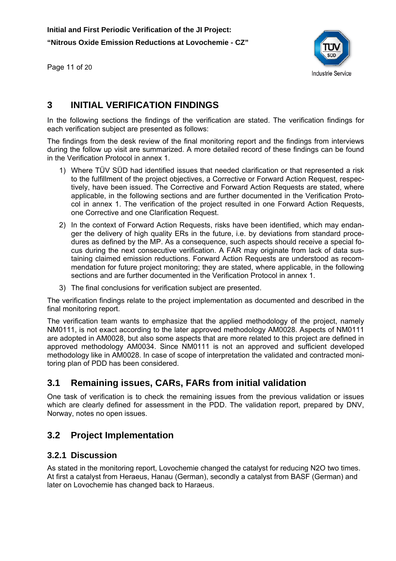Page 11 of 20

![](_page_11_Picture_2.jpeg)

## **3 INITIAL VERIFICATION FINDINGS**

In the following sections the findings of the verification are stated. The verification findings for each verification subject are presented as follows:

The findings from the desk review of the final monitoring report and the findings from interviews during the follow up visit are summarized. A more detailed record of these findings can be found in the Verification Protocol in annex 1.

- 1) Where TÜV SÜD had identified issues that needed clarification or that represented a risk to the fulfillment of the project objectives, a Corrective or Forward Action Request, respectively, have been issued. The Corrective and Forward Action Requests are stated, where applicable, in the following sections and are further documented in the Verification Protocol in annex 1. The verification of the project resulted in one Forward Action Requests, one Corrective and one Clarification Request.
- 2) In the context of Forward Action Requests, risks have been identified, which may endanger the delivery of high quality ERs in the future, i.e. by deviations from standard procedures as defined by the MP. As a consequence, such aspects should receive a special focus during the next consecutive verification. A FAR may originate from lack of data sustaining claimed emission reductions. Forward Action Requests are understood as recommendation for future project monitoring; they are stated, where applicable, in the following sections and are further documented in the Verification Protocol in annex 1.
- 3) The final conclusions for verification subject are presented.

The verification findings relate to the project implementation as documented and described in the final monitoring report.

The verification team wants to emphasize that the applied methodology of the project, namely NM0111, is not exact according to the later approved methodology AM0028. Aspects of NM0111 are adopted in AM0028, but also some aspects that are more related to this project are defined in approved methodology AM0034. Since NM0111 is not an approved and sufficient developed methodology like in AM0028. In case of scope of interpretation the validated and contracted monitoring plan of PDD has been considered.

#### **3.1 Remaining issues, CARs, FARs from initial validation**

One task of verification is to check the remaining issues from the previous validation or issues which are clearly defined for assessment in the PDD. The validation report, prepared by DNV, Norway, notes no open issues.

#### **3.2 Project Implementation**

#### **3.2.1 Discussion**

As stated in the monitoring report, Lovochemie changed the catalyst for reducing N2O two times. At first a catalyst from Heraeus, Hanau (German), secondly a catalyst from BASF (German) and later on Lovochemie has changed back to Haraeus.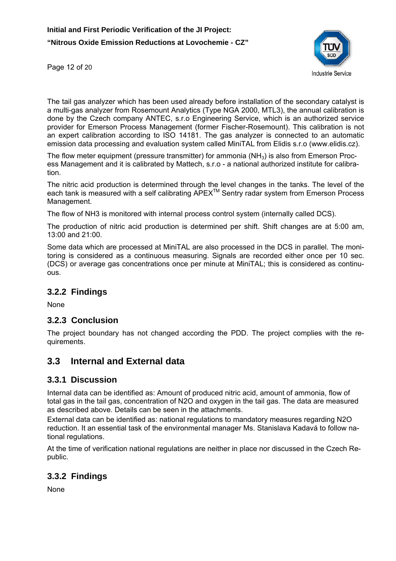![](_page_12_Picture_1.jpeg)

Page 12 of 20

The tail gas analyzer which has been used already before installation of the secondary catalyst is a multi-gas analyzer from Rosemount Analytics (Type NGA 2000, MTL3), the annual calibration is done by the Czech company ANTEC, s.r.o Engineering Service, which is an authorized service provider for Emerson Process Management (former Fischer-Rosemount). This calibration is not an expert calibration according to ISO 14181. The gas analyzer is connected to an automatic emission data processing and evaluation system called MiniTAL from Elidis s.r.o (www.elidis.cz).

The flow meter equipment (pressure transmitter) for ammonia (NH<sub>3</sub>) is also from Emerson Process Management and it is calibrated by Mattech, s.r.o - a national authorized institute for calibration.

The nitric acid production is determined through the level changes in the tanks. The level of the each tank is measured with a self calibrating APEX<sup>™</sup> Sentry radar system from Emerson Process Management.

The flow of NH3 is monitored with internal process control system (internally called DCS).

The production of nitric acid production is determined per shift. Shift changes are at 5:00 am, 13:00 and 21:00.

Some data which are processed at MiniTAL are also processed in the DCS in parallel. The monitoring is considered as a continuous measuring. Signals are recorded either once per 10 sec. (DCS) or average gas concentrations once per minute at MiniTAL; this is considered as continuous.

#### **3.2.2 Findings**

None

#### **3.2.3 Conclusion**

The project boundary has not changed according the PDD. The project complies with the requirements.

#### **3.3 Internal and External data**

#### **3.3.1 Discussion**

Internal data can be identified as: Amount of produced nitric acid, amount of ammonia, flow of total gas in the tail gas, concentration of N2O and oxygen in the tail gas. The data are measured as described above. Details can be seen in the attachments.

External data can be identified as: national regulations to mandatory measures regarding N2O reduction. It an essential task of the environmental manager Ms. Stanislava Kadavá to follow national regulations.

At the time of verification national regulations are neither in place nor discussed in the Czech Republic.

#### **3.3.2 Findings**

None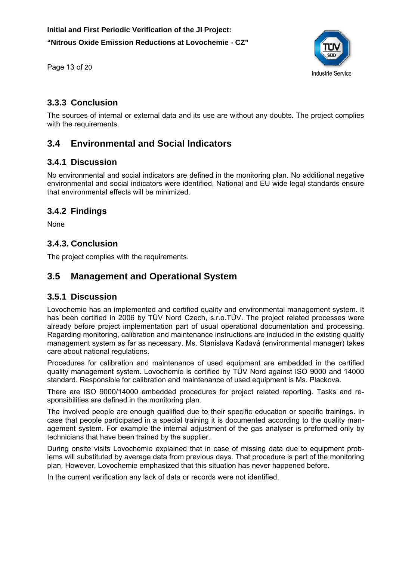Page 13 of 20

![](_page_13_Picture_2.jpeg)

#### **3.3.3 Conclusion**

The sources of internal or external data and its use are without any doubts. The project complies with the requirements.

## **3.4 Environmental and Social Indicators**

#### **3.4.1 Discussion**

No environmental and social indicators are defined in the monitoring plan. No additional negative environmental and social indicators were identified. National and EU wide legal standards ensure that environmental effects will be minimized.

#### **3.4.2 Findings**

**None** 

#### **3.4.3. Conclusion**

The project complies with the requirements.

#### **3.5 Management and Operational System**

#### **3.5.1 Discussion**

Lovochemie has an implemented and certified quality and environmental management system. It has been certified in 2006 by TÜV Nord Czech, s.r.o.TÜV. The project related processes were already before project implementation part of usual operational documentation and processing. Regarding monitoring, calibration and maintenance instructions are included in the existing quality management system as far as necessary. Ms. Stanislava Kadavá (environmental manager) takes care about national regulations.

Procedures for calibration and maintenance of used equipment are embedded in the certified quality management system. Lovochemie is certified by TÜV Nord against ISO 9000 and 14000 standard. Responsible for calibration and maintenance of used equipment is Ms. Plackova.

There are ISO 9000/14000 embedded procedures for project related reporting. Tasks and responsibilities are defined in the monitoring plan.

The involved people are enough qualified due to their specific education or specific trainings. In case that people participated in a special training it is documented according to the quality management system. For example the internal adjustment of the gas analyser is preformed only by technicians that have been trained by the supplier.

During onsite visits Lovochemie explained that in case of missing data due to equipment problems will substituted by average data from previous days. That procedure is part of the monitoring plan. However, Lovochemie emphasized that this situation has never happened before.

In the current verification any lack of data or records were not identified.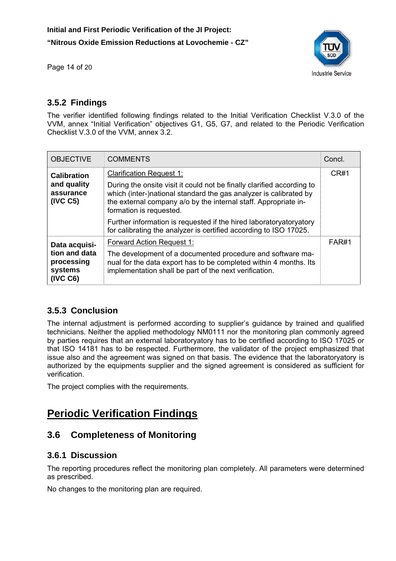![](_page_14_Picture_1.jpeg)

Page 14 of 20

#### **3.5.2 Findings**

The verifier identified following findings related to the Initial Verification Checklist V.3.0 of the VVM, annex "Initial Verification" objectives G1, G5, G7, and related to the Periodic Verification Checklist V.3.0 of the VVM, annex 3.2.

| <b>OBJECTIVE</b>                                               | <b>COMMENTS</b>                                                                                                                                                                                                                           | Concl. |
|----------------------------------------------------------------|-------------------------------------------------------------------------------------------------------------------------------------------------------------------------------------------------------------------------------------------|--------|
| <b>Calibration</b>                                             | <b>Clarification Request 1:</b>                                                                                                                                                                                                           |        |
| and quality<br>assurance<br>(IVC C5)                           | During the onsite visit it could not be finally clarified according to<br>which (inter-)national standard the gas analyzer is calibrated by<br>the external company a/o by the internal staff. Appropriate in-<br>formation is requested. |        |
|                                                                | Further information is requested if the hired laboratoryatory atory<br>for calibrating the analyzer is certified according to ISO 17025.                                                                                                  |        |
| Data acquisi-                                                  | <b>Forward Action Request 1:</b>                                                                                                                                                                                                          | FAR#1  |
| tion and data<br>processing<br>systems<br>(IVC <sub>C6</sub> ) | The development of a documented procedure and software ma-<br>nual for the data export has to be completed within 4 months. Its<br>implementation shall be part of the next verification.                                                 |        |

#### **3.5.3 Conclusion**

The internal adjustment is performed according to supplier's guidance by trained and qualified technicians. Neither the applied methodology NM0111 nor the monitoring plan commonly agreed by parties requires that an external laboratoryatory has to be certified according to ISO 17025 or that ISO 14181 has to be respected. Furthermore, the validator of the project emphasized that issue also and the agreement was signed on that basis. The evidence that the laboratoryatory is authorized by the equipments supplier and the signed agreement is considered as sufficient for verification.

The project complies with the requirements.

## **Periodic Verification Findings**

## **3.6 Completeness of Monitoring**

#### **3.6.1 Discussion**

The reporting procedures reflect the monitoring plan completely. All parameters were determined as prescribed.

No changes to the monitoring plan are required.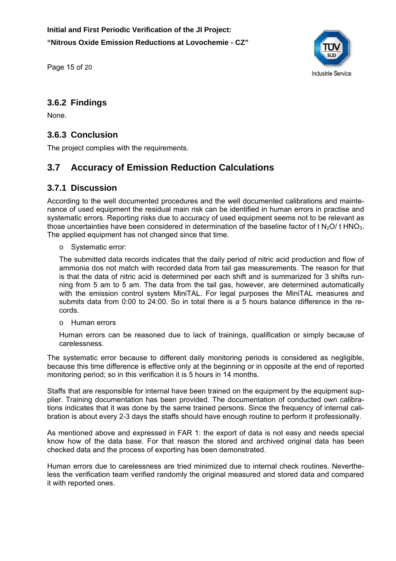**Initial and First Periodic Verification of the JI Project: "Nitrous Oxide Emission Reductions at Lovochemie - CZ"** 

![](_page_15_Picture_1.jpeg)

Page 15 of 20

#### **3.6.2 Findings**

None.

#### **3.6.3 Conclusion**

The project complies with the requirements.

#### **3.7 Accuracy of Emission Reduction Calculations**

#### **3.7.1 Discussion**

According to the well documented procedures and the well documented calibrations and maintenance of used equipment the residual main risk can be identified in human errors in practise and systematic errors. Reporting risks due to accuracy of used equipment seems not to be relevant as those uncertainties have been considered in determination of the baseline factor of t N<sub>2</sub>O/t HNO<sub>3</sub>. The applied equipment has not changed since that time.

o Systematic error:

The submitted data records indicates that the daily period of nitric acid production and flow of ammonia dos not match with recorded data from tail gas measurements. The reason for that is that the data of nitric acid is determined per each shift and is summarized for 3 shifts running from 5 am to 5 am. The data from the tail gas, however, are determined automatically with the emission control system MiniTAL. For legal purposes the MiniTAL measures and submits data from 0:00 to 24:00. So in total there is a 5 hours balance difference in the records.

o Human errors

Human errors can be reasoned due to lack of trainings, qualification or simply because of carelessness.

The systematic error because to different daily monitoring periods is considered as negligible, because this time difference is effective only at the beginning or in opposite at the end of reported monitoring period; so in this verification it is 5 hours in 14 months.

Staffs that are responsible for internal have been trained on the equipment by the equipment supplier. Training documentation has been provided. The documentation of conducted own calibrations indicates that it was done by the same trained persons. Since the frequency of internal calibration is about every 2-3 days the staffs should have enough routine to perform it professionally.

As mentioned above and expressed in FAR 1: the export of data is not easy and needs special know how of the data base. For that reason the stored and archived original data has been checked data and the process of exporting has been demonstrated.

Human errors due to carelessness are tried minimized due to internal check routines. Nevertheless the verification team verified randomly the original measured and stored data and compared it with reported ones.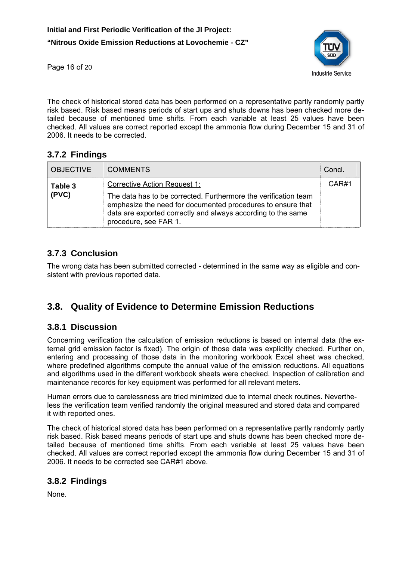![](_page_16_Picture_1.jpeg)

Page 16 of 20

The check of historical stored data has been performed on a representative partly randomly partly risk based. Risk based means periods of start ups and shuts downs has been checked more detailed because of mentioned time shifts. From each variable at least 25 values have been checked. All values are correct reported except the ammonia flow during December 15 and 31 of 2006. It needs to be corrected.

#### **3.7.2 Findings**

| <b>OBJECTIVE</b> | <b>COMMENTS</b>                                                                                                                                                                                                                                         | Concl. |
|------------------|---------------------------------------------------------------------------------------------------------------------------------------------------------------------------------------------------------------------------------------------------------|--------|
| Table 3<br>(PVC) | Corrective Action Request 1:<br>The data has to be corrected. Furthermore the verification team<br>emphasize the need for documented procedures to ensure that<br>data are exported correctly and always according to the same<br>procedure, see FAR 1. | CAR#1  |

#### **3.7.3 Conclusion**

The wrong data has been submitted corrected - determined in the same way as eligible and consistent with previous reported data.

## **3.8. Quality of Evidence to Determine Emission Reductions**

#### **3.8.1 Discussion**

Concerning verification the calculation of emission reductions is based on internal data (the external grid emission factor is fixed). The origin of those data was explicitly checked. Further on, entering and processing of those data in the monitoring workbook Excel sheet was checked, where predefined algorithms compute the annual value of the emission reductions. All equations and algorithms used in the different workbook sheets were checked. Inspection of calibration and maintenance records for key equipment was performed for all relevant meters.

Human errors due to carelessness are tried minimized due to internal check routines. Nevertheless the verification team verified randomly the original measured and stored data and compared it with reported ones.

The check of historical stored data has been performed on a representative partly randomly partly risk based. Risk based means periods of start ups and shuts downs has been checked more detailed because of mentioned time shifts. From each variable at least 25 values have been checked. All values are correct reported except the ammonia flow during December 15 and 31 of 2006. It needs to be corrected see CAR#1 above.

#### **3.8.2 Findings**

None.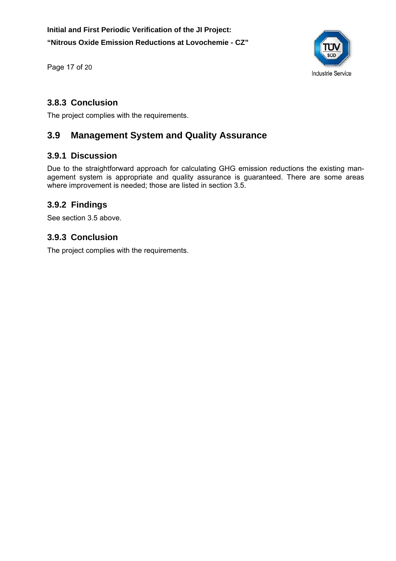![](_page_17_Picture_1.jpeg)

Page 17 of 20

#### **3.8.3 Conclusion**

The project complies with the requirements.

#### **3.9 Management System and Quality Assurance**

#### **3.9.1 Discussion**

Due to the straightforward approach for calculating GHG emission reductions the existing management system is appropriate and quality assurance is guaranteed. There are some areas where improvement is needed; those are listed in section 3.5.

#### **3.9.2 Findings**

See section 3.5 above.

#### **3.9.3 Conclusion**

The project complies with the requirements.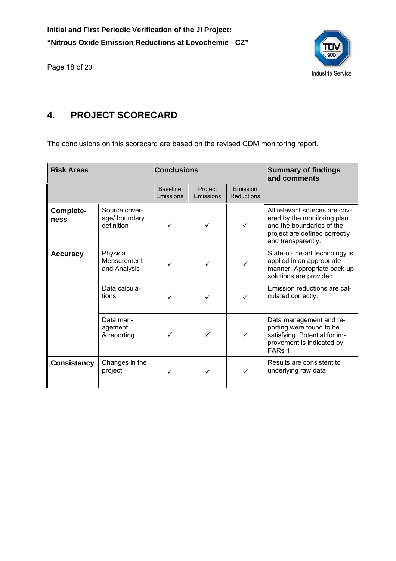Page 18 of 20

![](_page_18_Picture_2.jpeg)

## **4. PROJECT SCORECARD**

The conclusions on this scorecard are based on the revised CDM monitoring report.

| <b>Risk Areas</b>  |                                              | <b>Conclusions</b>           |                      | <b>Summary of findings</b><br>and comments |                                                                                                                                                  |
|--------------------|----------------------------------------------|------------------------------|----------------------|--------------------------------------------|--------------------------------------------------------------------------------------------------------------------------------------------------|
|                    |                                              | <b>Baseline</b><br>Emissions | Project<br>Emissions | Emission<br><b>Reductions</b>              |                                                                                                                                                  |
| Complete-<br>ness  | Source cover-<br>age/ boundary<br>definition | ✓                            |                      | ✓                                          | All relevant sources are cov-<br>ered by the monitoring plan<br>and the boundaries of the<br>project are defined correctly<br>and transparently. |
| <b>Accuracy</b>    | Physical<br>Measurement<br>✓<br>and Analysis |                              | ✓                    |                                            | State-of-the-art technology is<br>applied in an appropriate<br>manner. Appropriate back-up<br>solutions are provided.                            |
|                    | Data calcula-<br>tions                       |                              | ✓                    |                                            | Emission reductions are cal-<br>culated correctly.                                                                                               |
|                    | Data man-<br>agement<br>& reporting          | ✓                            | ✓                    | $\checkmark$                               | Data management and re-<br>porting were found to be<br>satisfying. Potential for im-<br>provement is indicated by<br>FAR <sub>s</sub> 1          |
| <b>Consistency</b> | Changes in the<br>project                    | ✓                            |                      |                                            | Results are consistent to<br>underlying raw data.                                                                                                |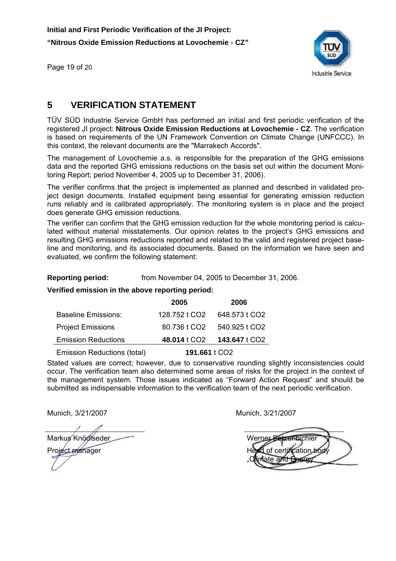![](_page_19_Picture_1.jpeg)

Page 19 of 20

## **5 VERIFICATION STATEMENT**

TÜV SÜD Industrie Service GmbH has performed an initial and first periodic verification of the registered JI project: **Nitrous Oxide Emission Reductions at Lovochemie - CZ**. The verification is based on requirements of the UN Framework Convention on Climate Change (UNFCCC). In this context, the relevant documents are the "Marrakech Accords".

The management of Lovochemie a.s. is responsible for the preparation of the GHG emissions data and the reported GHG emissions reductions on the basis set out within the document Monitoring Report; period November 4, 2005 up to December 31, 2006).

The verifier confirms that the project is implemented as planned and described in validated project design documents. Installed equipment being essential for generating emission reduction runs reliably and is calibrated appropriately. The monitoring system is in place and the project does generate GHG emission reductions.

The verifier can confirm that the GHG emission reduction for the whole monitoring period is calculated without material misstatements. Our opinion relates to the project's GHG emissions and resulting GHG emissions reductions reported and related to the valid and registered project baseline and monitoring, and its associated documents. Based on the information we have seen and evaluated, we confirm the following statement:

**Reporting period:** from November 04, 2005 to December 31, 2006.

**Verified emission in the above reporting period:** 

|                             | 2005                     | 2006          |
|-----------------------------|--------------------------|---------------|
| <b>Baseline Emissions:</b>  | 128.752 t CO2            | 648.573 t CO2 |
| <b>Project Emissions</b>    | 80.736 t CO <sub>2</sub> | 540.925 t CO2 |
| <b>Emission Reductions</b>  | 48.014 t CO <sub>2</sub> | 143.647 t CO2 |
| Emission Reductions (total) | 191.661 t CO2            |               |

Stated values are correct; however, due to conservative rounding slightly inconsistencies could occur. The verification team also determined some areas of risks for the project in the context of the management system. Those issues indicated as "Forward Action Request" and should be submitted as indispensable information to the verification team of the next periodic verification.

Munich, 3/21/2007 Munich, 3/21/2007

Markus Knödlseder

Project manager

Werner Betzenbichler of certification bo "Climate and Energy"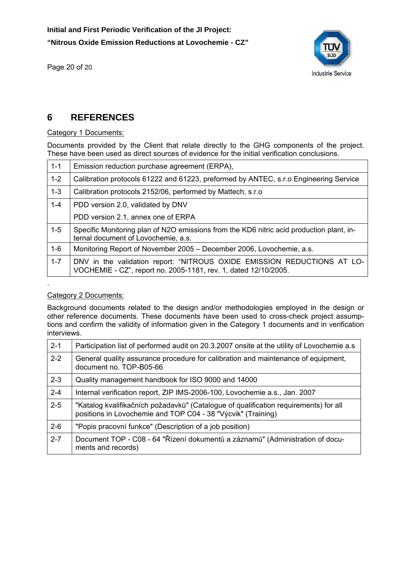Page 20 of 20

![](_page_20_Picture_2.jpeg)

#### **6 REFERENCES**

#### Category 1 Documents:

Documents provided by the Client that relate directly to the GHG components of the project. These have been used as direct sources of evidence for the initial verification conclusions.

| Emission reduction purchase agreement (ERPA),                                                                                              |
|--------------------------------------------------------------------------------------------------------------------------------------------|
| Calibration protocols 61222 and 61223, preformed by ANTEC, s.r.o Engineering Service                                                       |
| Calibration protocols 2152/06, performed by Mattech, s.r.o.                                                                                |
| PDD version 2.0, validated by DNV                                                                                                          |
| PDD version 2.1, annex one of ERPA                                                                                                         |
| Specific Monitoring plan of N2O emissions from the KD6 nitric acid production plant, in-<br>ternal document of Lovochemie, a.s.            |
| Monitoring Report of November 2005 – December 2006, Lovochemie, a.s.                                                                       |
| DNV in the validation report: "NITROUS OXIDE EMISSION REDUCTIONS AT LO-<br>VOCHEMIE - CZ", report no. 2005-1181, rev. 1, dated 12/10/2005. |
|                                                                                                                                            |

#### Category 2 Documents:

.

Background documents related to the design and/or methodologies employed in the design or other reference documents. These documents have been used to cross-check project assumptions and confirm the validity of information given in the Category 1 documents and in verification interviews.

| $2 - 1$ | Participation list of performed audit on 20.3.2007 onsite at the utility of Lovochemie a.s.                                                          |
|---------|------------------------------------------------------------------------------------------------------------------------------------------------------|
| $2 - 2$ | General quality assurance procedure for calibration and maintenance of equipment,<br>document no. TOP-B05-66                                         |
| $2 - 3$ | Quality management handbook for ISO 9000 and 14000                                                                                                   |
| $2 - 4$ | Internal verification report, ZIP IMS-2006-100, Lovochemie a.s., Jan. 2007                                                                           |
| $2 - 5$ | "Katalog kvalifikačních požadavků" (Catalogue of qualification requirements) for all<br>positions in Lovochemie and TOP C04 - 38 "Výcvik" (Training) |
| $2 - 6$ | "Popis pracovní funkce" (Description of a job position)                                                                                              |
| $2 - 7$ | Document TOP - C08 - 64 "Řízení dokumentů a záznamů" (Administration of docu-<br>ments and records)                                                  |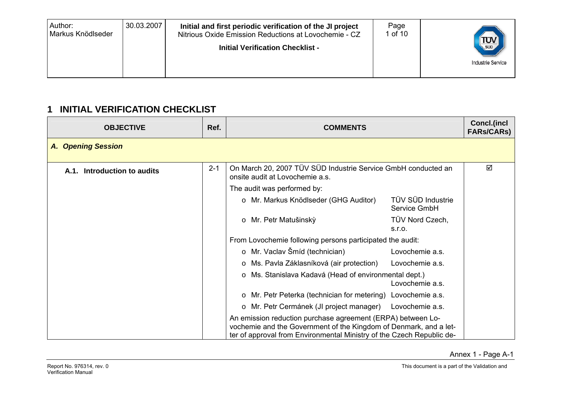| Author:<br>Markus Knödlseder | 30.03.2007 | Initial and first periodic verification of the JI project<br>Nitrious Oxide Emission Reductions at Lovochemie - CZ<br><b>Initial Verification Checklist -</b> | Page<br>1 of 10 | TUV<br><b>Industrie Service</b> |
|------------------------------|------------|---------------------------------------------------------------------------------------------------------------------------------------------------------------|-----------------|---------------------------------|
|------------------------------|------------|---------------------------------------------------------------------------------------------------------------------------------------------------------------|-----------------|---------------------------------|

### **1 INITIAL VERIFICATION CHECKLIST**

| <b>OBJECTIVE</b>            | Ref.    | <b>COMMENTS</b>                                                                                                                                                                                           |                                   | <b>Concl.(incl</b><br><b>FARs/CARs)</b> |
|-----------------------------|---------|-----------------------------------------------------------------------------------------------------------------------------------------------------------------------------------------------------------|-----------------------------------|-----------------------------------------|
| <b>A. Opening Session</b>   |         |                                                                                                                                                                                                           |                                   |                                         |
| A.1. Introduction to audits | $2 - 1$ | On March 20, 2007 TÜV SÜD Industrie Service GmbH conducted an<br>onsite audit at Lovochemie a.s.                                                                                                          |                                   | ☑                                       |
|                             |         | The audit was performed by:                                                                                                                                                                               |                                   |                                         |
|                             |         | o Mr. Markus Knödlseder (GHG Auditor)                                                                                                                                                                     | TÜV SÜD Industrie<br>Service GmbH |                                         |
|                             |         | Mr. Petr Matušinský<br>$\circ$                                                                                                                                                                            | TÜV Nord Czech,<br>S.I.O.         |                                         |
|                             |         | From Lovochemie following persons participated the audit:                                                                                                                                                 |                                   |                                         |
|                             |         | o Mr. Vaclav Šmíd (technician)                                                                                                                                                                            | Lovochemie a.s.                   |                                         |
|                             |         | Ms. Pavla Záklasníková (air protection)<br>$\circ$                                                                                                                                                        | Lovochemie a.s.                   |                                         |
|                             |         | Ms. Stanislava Kadavá (Head of environmental dept.)<br>$\circ$                                                                                                                                            | Lovochemie a.s.                   |                                         |
|                             |         | Mr. Petr Peterka (technician for metering) Lovochemie a.s.<br>$\circ$                                                                                                                                     |                                   |                                         |
|                             |         | o Mr. Petr Cermánek (JI project manager)                                                                                                                                                                  | Lovochemie a.s.                   |                                         |
|                             |         | An emission reduction purchase agreement (ERPA) between Lo-<br>vochemie and the Government of the Kingdom of Denmark, and a let-<br>ter of approval from Environmental Ministry of the Czech Republic de- |                                   |                                         |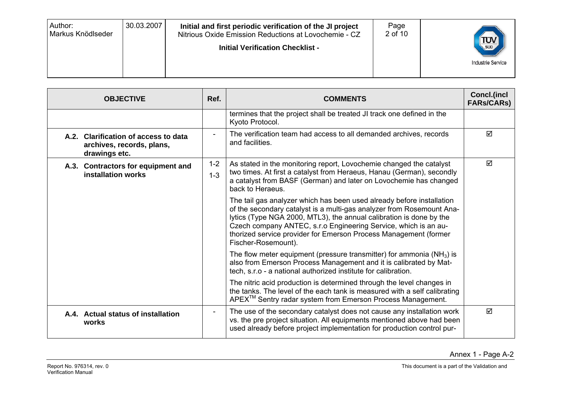| 30.03.2007<br>Author:<br>Page<br>Initial and first periodic verification of the JI project<br>2 of 10<br>Markus Knödlseder<br>Nitrious Oxide Emission Reductions at Lovochemie - CZ<br>$T_{\text{sub}}$<br><b>Initial Verification Checklist -</b><br><b>Industrie Service</b> |
|--------------------------------------------------------------------------------------------------------------------------------------------------------------------------------------------------------------------------------------------------------------------------------|
|--------------------------------------------------------------------------------------------------------------------------------------------------------------------------------------------------------------------------------------------------------------------------------|

| <b>OBJECTIVE</b>                                                                   | Ref.               | <b>COMMENTS</b>                                                                                                                                                                                                                                                                                                                                                                     | Concl.(incl<br><b>FARs/CARS)</b> |
|------------------------------------------------------------------------------------|--------------------|-------------------------------------------------------------------------------------------------------------------------------------------------------------------------------------------------------------------------------------------------------------------------------------------------------------------------------------------------------------------------------------|----------------------------------|
|                                                                                    |                    | termines that the project shall be treated JI track one defined in the<br>Kyoto Protocol.                                                                                                                                                                                                                                                                                           |                                  |
| A.2. Clarification of access to data<br>archives, records, plans,<br>drawings etc. |                    | The verification team had access to all demanded archives, records<br>and facilities.                                                                                                                                                                                                                                                                                               | ☑                                |
| A.3. Contractors for equipment and<br>installation works                           | $1 - 2$<br>$1 - 3$ | As stated in the monitoring report, Lovochemie changed the catalyst<br>two times. At first a catalyst from Heraeus, Hanau (German), secondly<br>a catalyst from BASF (German) and later on Lovochemie has changed<br>back to Heraeus.                                                                                                                                               | ☑                                |
|                                                                                    |                    | The tail gas analyzer which has been used already before installation<br>of the secondary catalyst is a multi-gas analyzer from Rosemount Ana-<br>lytics (Type NGA 2000, MTL3), the annual calibration is done by the<br>Czech company ANTEC, s.r.o Engineering Service, which is an au-<br>thorized service provider for Emerson Process Management (former<br>Fischer-Rosemount). |                                  |
|                                                                                    |                    | The flow meter equipment (pressure transmitter) for ammonia $(NH_3)$ is<br>also from Emerson Process Management and it is calibrated by Mat-<br>tech, s.r.o - a national authorized institute for calibration.                                                                                                                                                                      |                                  |
|                                                                                    |                    | The nitric acid production is determined through the level changes in<br>the tanks. The level of the each tank is measured with a self calibrating<br>APEX <sup>™</sup> Sentry radar system from Emerson Process Management.                                                                                                                                                        |                                  |
| A.4. Actual status of installation<br>works                                        |                    | The use of the secondary catalyst does not cause any installation work<br>vs. the pre project situation. All equipments mentioned above had been<br>used already before project implementation for production control pur-                                                                                                                                                          | ☑                                |

Annex 1 - Page A-2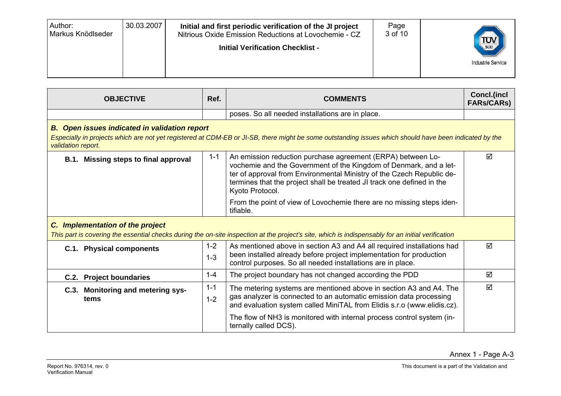| 30.03.2007<br>Author:<br>Initial and first periodic verification of the JI project<br>Markus Knödlseder<br>Nitrious Oxide Emission Reductions at Lovochemie - CZ<br><b>Initial Verification Checklist -</b> | Page<br>3 of 10 | $T_{\text{SUD}}$<br><b>Industrie Service</b> |
|-------------------------------------------------------------------------------------------------------------------------------------------------------------------------------------------------------------|-----------------|----------------------------------------------|
|-------------------------------------------------------------------------------------------------------------------------------------------------------------------------------------------------------------|-----------------|----------------------------------------------|

| <b>OBJECTIVE</b>                                                                                                                                                                                                                     | Ref.               | <b>COMMENTS</b>                                                                                                                                                                                                                                                                                        | Concl.(incl<br><b>FARs/CARs)</b> |  |  |  |
|--------------------------------------------------------------------------------------------------------------------------------------------------------------------------------------------------------------------------------------|--------------------|--------------------------------------------------------------------------------------------------------------------------------------------------------------------------------------------------------------------------------------------------------------------------------------------------------|----------------------------------|--|--|--|
|                                                                                                                                                                                                                                      |                    | poses. So all needed installations are in place.                                                                                                                                                                                                                                                       |                                  |  |  |  |
| <b>B.</b> Open issues indicated in validation report<br>Especially in projects which are not yet registered at CDM-EB or JI-SB, there might be some outstanding issues which should have been indicated by the<br>validation report. |                    |                                                                                                                                                                                                                                                                                                        |                                  |  |  |  |
| B.1. Missing steps to final approval                                                                                                                                                                                                 | $1 - 1$            | An emission reduction purchase agreement (ERPA) between Lo-<br>vochemie and the Government of the Kingdom of Denmark, and a let-<br>ter of approval from Environmental Ministry of the Czech Republic de-<br>termines that the project shall be treated JI track one defined in the<br>Kyoto Protocol. | ☑                                |  |  |  |
|                                                                                                                                                                                                                                      |                    | From the point of view of Lovochemie there are no missing steps iden-<br>tifiable.                                                                                                                                                                                                                     |                                  |  |  |  |
| C. Implementation of the project                                                                                                                                                                                                     |                    | This part is covering the essential checks during the on-site inspection at the project's site, which is indispensably for an initial verification                                                                                                                                                     |                                  |  |  |  |
| C.1. Physical components                                                                                                                                                                                                             | $1 - 2$<br>$1 - 3$ | As mentioned above in section A3 and A4 all required installations had<br>been installed already before project implementation for production<br>control purposes. So all needed installations are in place.                                                                                           | ☑                                |  |  |  |
| <b>C.2. Project boundaries</b>                                                                                                                                                                                                       | $1 - 4$            | The project boundary has not changed according the PDD                                                                                                                                                                                                                                                 | ☑                                |  |  |  |
| C.3. Monitoring and metering sys-<br>tems                                                                                                                                                                                            | $1 - 1$<br>$1 - 2$ | The metering systems are mentioned above in section A3 and A4. The<br>gas analyzer is connected to an automatic emission data processing<br>and evaluation system called MiniTAL from Elidis s.r.o (www.elidis.cz).                                                                                    | ⊠                                |  |  |  |
|                                                                                                                                                                                                                                      |                    | The flow of NH3 is monitored with internal process control system (in-<br>ternally called DCS).                                                                                                                                                                                                        |                                  |  |  |  |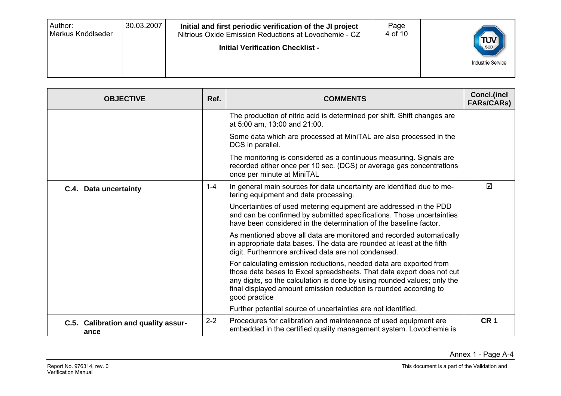| 30.03.2007<br>Author:<br>Initial and first periodic verification of the JI project<br>Markus Knödlseder<br>Nitrious Oxide Emission Reductions at Lovochemie - CZ<br><b>Initial Verification Checklist -</b> | Page<br>4 of 10 | $\left(\frac{\text{TV}}{\text{sup}}\right)$<br><b>Industrie Service</b> |
|-------------------------------------------------------------------------------------------------------------------------------------------------------------------------------------------------------------|-----------------|-------------------------------------------------------------------------|
|-------------------------------------------------------------------------------------------------------------------------------------------------------------------------------------------------------------|-----------------|-------------------------------------------------------------------------|

| <b>OBJECTIVE</b>                            | Ref.    | <b>COMMENTS</b>                                                                                                                                                                                                                                                                                               | <b>Concl.(incl</b><br><b>FARs/CARS)</b> |
|---------------------------------------------|---------|---------------------------------------------------------------------------------------------------------------------------------------------------------------------------------------------------------------------------------------------------------------------------------------------------------------|-----------------------------------------|
|                                             |         | The production of nitric acid is determined per shift. Shift changes are<br>at 5:00 am, 13:00 and 21:00.                                                                                                                                                                                                      |                                         |
|                                             |         | Some data which are processed at MiniTAL are also processed in the<br>DCS in parallel.                                                                                                                                                                                                                        |                                         |
|                                             |         | The monitoring is considered as a continuous measuring. Signals are<br>recorded either once per 10 sec. (DCS) or average gas concentrations<br>once per minute at MiniTAL                                                                                                                                     |                                         |
| C.4. Data uncertainty                       | $1 - 4$ | In general main sources for data uncertainty are identified due to me-<br>tering equipment and data processing.                                                                                                                                                                                               | ☑                                       |
|                                             |         | Uncertainties of used metering equipment are addressed in the PDD<br>and can be confirmed by submitted specifications. Those uncertainties<br>have been considered in the determination of the baseline factor.                                                                                               |                                         |
|                                             |         | As mentioned above all data are monitored and recorded automatically<br>in appropriate data bases. The data are rounded at least at the fifth<br>digit. Furthermore archived data are not condensed.                                                                                                          |                                         |
|                                             |         | For calculating emission reductions, needed data are exported from<br>those data bases to Excel spreadsheets. That data export does not cut<br>any digits, so the calculation is done by using rounded values; only the<br>final displayed amount emission reduction is rounded according to<br>good practice |                                         |
|                                             |         | Further potential source of uncertainties are not identified.                                                                                                                                                                                                                                                 |                                         |
| C.5. Calibration and quality assur-<br>ance | $2 - 2$ | Procedures for calibration and maintenance of used equipment are<br>embedded in the certified quality management system. Lovochemie is                                                                                                                                                                        | CR <sub>1</sub>                         |

Annex 1 - Page A-4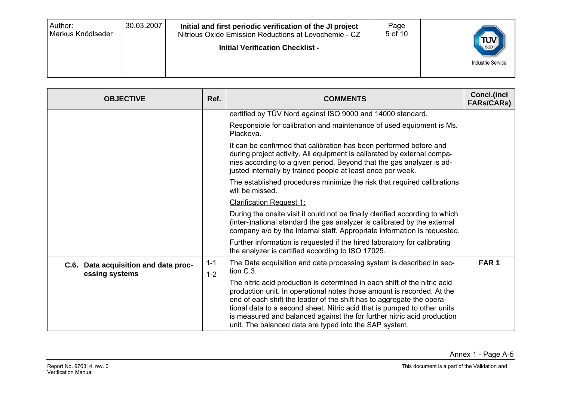| 30.03.2007<br>Author:<br>Initial and first periodic verification of the JI project<br>Markus Knödlseder<br>Nitrious Oxide Emission Reductions at Lovochemie - CZ<br><b>Initial Verification Checklist -</b> | Page<br>5 of 10 | $\frac{1}{\sqrt{\frac{1}{500}}}$<br><b>Industrie Service</b> |
|-------------------------------------------------------------------------------------------------------------------------------------------------------------------------------------------------------------|-----------------|--------------------------------------------------------------|
|-------------------------------------------------------------------------------------------------------------------------------------------------------------------------------------------------------------|-----------------|--------------------------------------------------------------|

| <b>OBJECTIVE</b>                                       | Ref.               | <b>COMMENTS</b>                                                                                                                                                                                                                                                                                                                                                                                                                               | <b>Concl.(incl</b><br><b>FARs/CARs)</b> |
|--------------------------------------------------------|--------------------|-----------------------------------------------------------------------------------------------------------------------------------------------------------------------------------------------------------------------------------------------------------------------------------------------------------------------------------------------------------------------------------------------------------------------------------------------|-----------------------------------------|
|                                                        |                    | certified by TÜV Nord against ISO 9000 and 14000 standard.                                                                                                                                                                                                                                                                                                                                                                                    |                                         |
|                                                        |                    | Responsible for calibration and maintenance of used equipment is Ms.<br>Plackova.                                                                                                                                                                                                                                                                                                                                                             |                                         |
|                                                        |                    | It can be confirmed that calibration has been performed before and<br>during project activity. All equipment is calibrated by external compa-<br>nies according to a given period. Beyond that the gas analyzer is ad-<br>justed internally by trained people at least once per week.                                                                                                                                                         |                                         |
|                                                        |                    | The established procedures minimize the risk that required calibrations<br>will be missed.                                                                                                                                                                                                                                                                                                                                                    |                                         |
|                                                        |                    | <b>Clarification Request 1:</b>                                                                                                                                                                                                                                                                                                                                                                                                               |                                         |
|                                                        |                    | During the onsite visit it could not be finally clarified according to which<br>(inter-)national standard the gas analyzer is calibrated by the external<br>company a/o by the internal staff. Appropriate information is requested.                                                                                                                                                                                                          |                                         |
|                                                        |                    | Further information is requested if the hired laboratory for calibrating<br>the analyzer is certified according to ISO 17025.                                                                                                                                                                                                                                                                                                                 |                                         |
| C.6. Data acquisition and data proc-<br>essing systems | $1 - 1$<br>$1 - 2$ | The Data acquisition and data processing system is described in sec-<br>tion C.3.                                                                                                                                                                                                                                                                                                                                                             | FAR <sub>1</sub>                        |
|                                                        |                    | The nitric acid production is determined in each shift of the nitric acid<br>production unit. In operational notes those amount is recorded. At the<br>end of each shift the leader of the shift has to aggregate the opera-<br>tional data to a second sheet. Nitric acid that is pumped to other units<br>is measured and balanced against the for further nitric acid production<br>unit. The balanced data are typed into the SAP system. |                                         |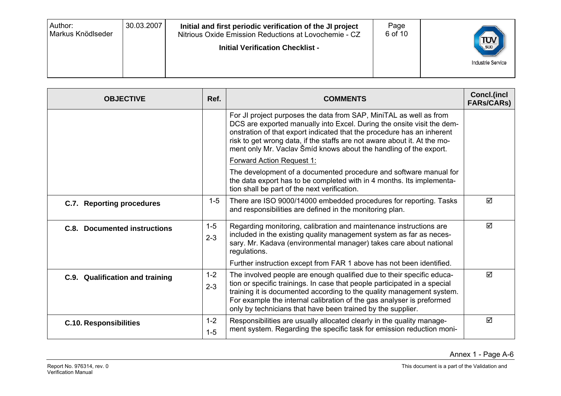| 30.03.2007<br>Author:<br>Initial and first periodic verification of the JI project<br>Markus Knödlseder<br>Nitrious Oxide Emission Reductions at Lovochemie - CZ<br><b>Initial Verification Checklist -</b> | Page<br>6 of 10<br>$\left(\frac{\text{TV}}{\text{sup}}\right)$<br><b>Industrie Service</b> |
|-------------------------------------------------------------------------------------------------------------------------------------------------------------------------------------------------------------|--------------------------------------------------------------------------------------------|
|-------------------------------------------------------------------------------------------------------------------------------------------------------------------------------------------------------------|--------------------------------------------------------------------------------------------|

| <b>OBJECTIVE</b>                    | Ref.               | <b>COMMENTS</b>                                                                                                                                                                                                                                                                                                                                                         | Concl.(incl<br><b>FARs/CARs)</b> |
|-------------------------------------|--------------------|-------------------------------------------------------------------------------------------------------------------------------------------------------------------------------------------------------------------------------------------------------------------------------------------------------------------------------------------------------------------------|----------------------------------|
|                                     |                    | For JI project purposes the data from SAP, MiniTAL as well as from<br>DCS are exported manually into Excel. During the onsite visit the dem-<br>onstration of that export indicated that the procedure has an inherent<br>risk to get wrong data, if the staffs are not aware about it. At the mo-<br>ment only Mr. Vaclav Šmíd knows about the handling of the export. |                                  |
|                                     |                    | <b>Forward Action Request 1:</b>                                                                                                                                                                                                                                                                                                                                        |                                  |
|                                     |                    | The development of a documented procedure and software manual for<br>the data export has to be completed with in 4 months. Its implementa-<br>tion shall be part of the next verification.                                                                                                                                                                              |                                  |
| C.7. Reporting procedures           | $1 - 5$            | There are ISO 9000/14000 embedded procedures for reporting. Tasks<br>and responsibilities are defined in the monitoring plan.                                                                                                                                                                                                                                           | ☑                                |
| <b>C.8. Documented instructions</b> | $1 - 5$<br>$2 - 3$ | Regarding monitoring, calibration and maintenance instructions are<br>included in the existing quality management system as far as neces-<br>sary. Mr. Kadava (environmental manager) takes care about national<br>regulations.                                                                                                                                         | ☑                                |
|                                     |                    | Further instruction except from FAR 1 above has not been identified.                                                                                                                                                                                                                                                                                                    |                                  |
| C.9. Qualification and training     | $1 - 2$<br>$2 - 3$ | The involved people are enough qualified due to their specific educa-<br>tion or specific trainings. In case that people participated in a special<br>training it is documented according to the quality management system.<br>For example the internal calibration of the gas analyser is preformed<br>only by technicians that have been trained by the supplier.     | ☑                                |
| <b>C.10. Responsibilities</b>       | $1 - 2$<br>$1-5$   | Responsibilities are usually allocated clearly in the quality manage-<br>ment system. Regarding the specific task for emission reduction moni-                                                                                                                                                                                                                          | ☑                                |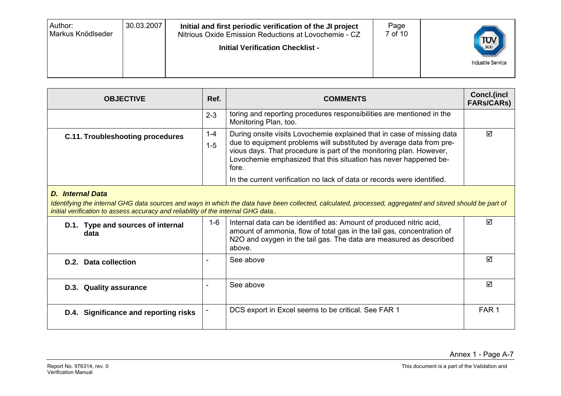| 30.03.2007<br>Author:<br>Initial and first periodic verification of the JI project<br>Markus Knödlseder<br>Nitrious Oxide Emission Reductions at Lovochemie - CZ<br><b>Initial Verification Checklist -</b> | Page<br>7 of 10<br>$\left(\frac{\text{TV}}{\text{sup}}\right)$<br><b>Industrie Service</b> |
|-------------------------------------------------------------------------------------------------------------------------------------------------------------------------------------------------------------|--------------------------------------------------------------------------------------------|
|-------------------------------------------------------------------------------------------------------------------------------------------------------------------------------------------------------------|--------------------------------------------------------------------------------------------|

| <b>OBJECTIVE</b>                 | Ref.         | <b>COMMENTS</b>                                                                                                                                                                                                                                                                                                                                                               | Concl.(incl<br><b>FARs/CARs)</b> |
|----------------------------------|--------------|-------------------------------------------------------------------------------------------------------------------------------------------------------------------------------------------------------------------------------------------------------------------------------------------------------------------------------------------------------------------------------|----------------------------------|
|                                  | $2 - 3$      | toring and reporting procedures responsibilities are mentioned in the<br>Monitoring Plan, too.                                                                                                                                                                                                                                                                                |                                  |
| C.11. Troubleshooting procedures | 1-4<br>$1-5$ | During onsite visits Lovochemie explained that in case of missing data<br>due to equipment problems will substituted by average data from pre-<br>vious days. That procedure is part of the monitoring plan. However,<br>Lovochemie emphasized that this situation has never happened be-<br>fore.<br>In the current verification no lack of data or records were identified. | ☑                                |

#### *D. Internal Data*

Identifying the internal GHG data sources and ways in which the data have been collected, calculated, processed, aggregated and stored should be part of *initial verification to assess accuracy and reliability of the internal GHG data..* 

| D.1. Type and sources of internal<br>data | 1-6 | Internal data can be identified as: Amount of produced nitric acid,<br>amount of ammonia, flow of total gas in the tail gas, concentration of<br>N2O and oxygen in the tail gas. The data are measured as described<br>above. | ☑                |
|-------------------------------------------|-----|-------------------------------------------------------------------------------------------------------------------------------------------------------------------------------------------------------------------------------|------------------|
| D.2. Data collection                      |     | See above                                                                                                                                                                                                                     | ☑                |
| D.3. Quality assurance                    |     | See above                                                                                                                                                                                                                     | ☑                |
| D.4. Significance and reporting risks     |     | DCS export in Excel seems to be critical. See FAR 1                                                                                                                                                                           | FAR <sub>1</sub> |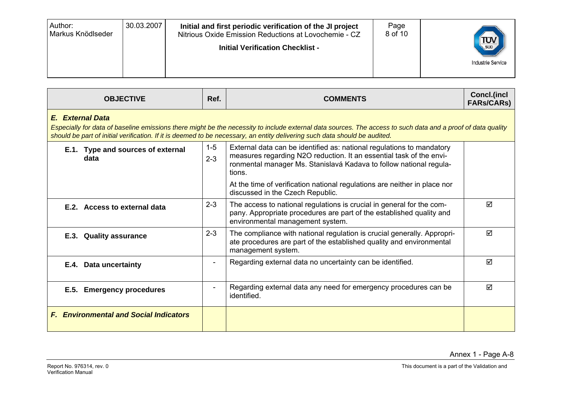| Author:<br>Markus Knödlseder | 30.03.2007 | Initial and first periodic verification of the JI project<br>Nitrious Oxide Emission Reductions at Lovochemie - CZ<br><b>Initial Verification Checklist -</b> | Page<br>8 of 10 | $\left(\frac{1}{\sqrt{2}}\right)$<br><b>Industrie Service</b> |
|------------------------------|------------|---------------------------------------------------------------------------------------------------------------------------------------------------------------|-----------------|---------------------------------------------------------------|
|------------------------------|------------|---------------------------------------------------------------------------------------------------------------------------------------------------------------|-----------------|---------------------------------------------------------------|

| <b>OBJECTIVE</b><br>Ref.<br><b>COMMENTS</b>                                                                                                                                                                                                                                                                                                                                  |                                                                                                                                                                                  |                                                                                                                                                                                                                       | Concl.(incl<br><b>FARs/CARs)</b> |  |  |
|------------------------------------------------------------------------------------------------------------------------------------------------------------------------------------------------------------------------------------------------------------------------------------------------------------------------------------------------------------------------------|----------------------------------------------------------------------------------------------------------------------------------------------------------------------------------|-----------------------------------------------------------------------------------------------------------------------------------------------------------------------------------------------------------------------|----------------------------------|--|--|
| E. External Data<br>Especially for data of baseline emissions there might be the necessity to include external data sources. The access to such data and a proof of data quality<br>should be part of initial verification. If it is deemed to be necessary, an entity delivering such data should be audited.                                                               |                                                                                                                                                                                  |                                                                                                                                                                                                                       |                                  |  |  |
| $1 - 5$<br>External data can be identified as: national regulations to mandatory<br>E.1. Type and sources of external<br>measures regarding N2O reduction. It an essential task of the envi-<br>$2 - 3$<br>data<br>ronmental manager Ms. Stanislavá Kadava to follow national regula-<br>tions.<br>At the time of verification national regulations are neither in place nor |                                                                                                                                                                                  |                                                                                                                                                                                                                       |                                  |  |  |
| E.2. Access to external data                                                                                                                                                                                                                                                                                                                                                 | $2 - 3$                                                                                                                                                                          | discussed in the Czech Republic.<br>The access to national regulations is crucial in general for the com-<br>pany. Appropriate procedures are part of the established quality and<br>environmental management system. | ☑                                |  |  |
| E.3. Quality assurance                                                                                                                                                                                                                                                                                                                                                       | $2 - 3$<br>The compliance with national regulation is crucial generally. Appropri-<br>ate procedures are part of the established quality and environmental<br>management system. |                                                                                                                                                                                                                       | ☑                                |  |  |
| E.4. Data uncertainty                                                                                                                                                                                                                                                                                                                                                        |                                                                                                                                                                                  | Regarding external data no uncertainty can be identified.                                                                                                                                                             |                                  |  |  |
| E.5. Emergency procedures                                                                                                                                                                                                                                                                                                                                                    |                                                                                                                                                                                  | Regarding external data any need for emergency procedures can be<br>identified.                                                                                                                                       | ☑                                |  |  |
| <b>F. Environmental and Social Indicators</b>                                                                                                                                                                                                                                                                                                                                |                                                                                                                                                                                  |                                                                                                                                                                                                                       |                                  |  |  |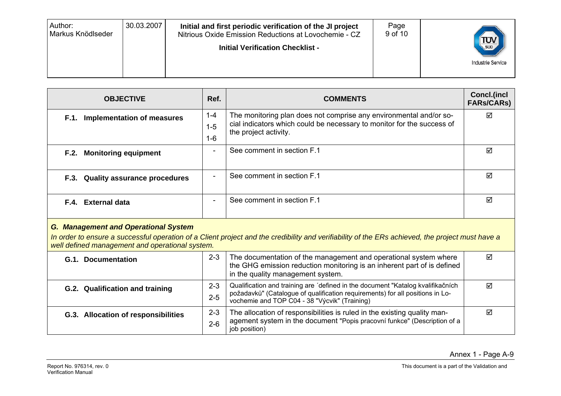| Author:<br>Markus Knödlseder | 30.03.2007 | Initial and first periodic verification of the JI project<br>Nitrious Oxide Emission Reductions at Lovochemie - CZ<br><b>Initial Verification Checklist -</b> | Page<br>9 of 10 | $T_{\text{sub}}$<br><b>Industrie Service</b> |
|------------------------------|------------|---------------------------------------------------------------------------------------------------------------------------------------------------------------|-----------------|----------------------------------------------|
|                              |            |                                                                                                                                                               |                 |                                              |
|                              |            |                                                                                                                                                               |                 |                                              |

| <b>OBJECTIVE</b>                  | Ref.                | <b>COMMENTS</b>                                                                                                                                                       | Concl.(incl<br><b>FARs/CARs)</b> |
|-----------------------------------|---------------------|-----------------------------------------------------------------------------------------------------------------------------------------------------------------------|----------------------------------|
| F.1. Implementation of measures   | 1-4<br>$1-5$<br>1-6 | The monitoring plan does not comprise any environmental and/or so-<br>cial indicators which could be necessary to monitor for the success of<br>the project activity. | ☑                                |
| F.2. Monitoring equipment         |                     | See comment in section F.1                                                                                                                                            | ☑                                |
| F.3. Quality assurance procedures |                     | See comment in section F.1                                                                                                                                            | ☑                                |
| F.4. External data                |                     | See comment in section F.1                                                                                                                                            | ☑                                |

#### *G. Management and Operational System*

*In order to ensure a successful operation of a Client project and the credibility and verifiability of the ERs achieved, the project must have a well defined management and operational system.*

| G.1. Documentation                  | $2 - 3$            | The documentation of the management and operational system where<br>the GHG emission reduction monitoring is an inherent part of is defined<br>in the quality management system.                                  | ☑ |
|-------------------------------------|--------------------|-------------------------------------------------------------------------------------------------------------------------------------------------------------------------------------------------------------------|---|
| G.2. Qualification and training     | $2 - 3$<br>$2 - 5$ | Qualification and training are 'defined in the document "Katalog kvalifikačních<br>požadavků" (Catalogue of qualification requirements) for all positions in Lo-<br>vochemie and TOP C04 - 38 "Výcvik" (Training) | ⊠ |
| G.3. Allocation of responsibilities | $2 - 3$<br>$2 - 6$ | The allocation of responsibilities is ruled in the existing quality man-<br>agement system in the document "Popis pracovní funkce" (Description of a<br>job position)                                             | ☑ |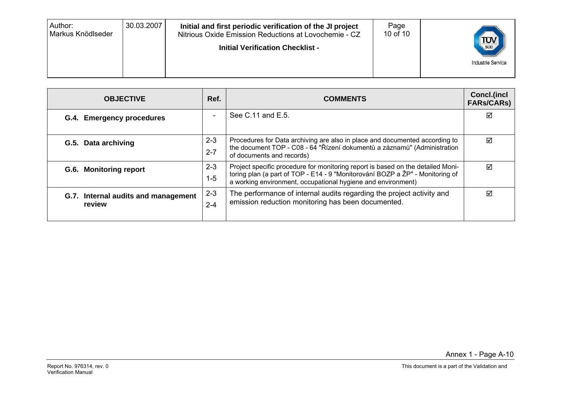| 30.03.2007<br>Author:<br>Page<br>Initial and first periodic verification of the JI project<br>10 of 10<br>Markus Knödlseder<br>Nitrious Oxide Emission Reductions at Lovochemie - CZ<br><b>Initial Verification Checklist -</b> | TUV<br><b>Industrie Service</b> |
|---------------------------------------------------------------------------------------------------------------------------------------------------------------------------------------------------------------------------------|---------------------------------|
|---------------------------------------------------------------------------------------------------------------------------------------------------------------------------------------------------------------------------------|---------------------------------|

| <b>OBJECTIVE</b>                              | Ref.                     | <b>COMMENTS</b>                                                                                                                                                                                                                  | Concl.(incl<br><b>FARs/CARs)</b> |
|-----------------------------------------------|--------------------------|----------------------------------------------------------------------------------------------------------------------------------------------------------------------------------------------------------------------------------|----------------------------------|
| G.4. Emergency procedures                     | $\overline{\phantom{0}}$ | See C.11 and E.5.                                                                                                                                                                                                                | ⊻                                |
| G.5. Data archiving                           | $2 - 3$<br>$2 - 7$       | Procedures for Data archiving are also in place and documented according to<br>the document TOP - C08 - 64 "Řízení dokumentů a záznamů" (Administration<br>of documents and records)                                             | ✓                                |
| G.6. Monitoring report                        | $2 - 3$<br>$1 - 5$       | Project specific procedure for monitoring report is based on the detailed Moni-<br>toring plan (a part of TOP - E14 - 9 "Monitorování BOZP a ŽP" - Monitoring of<br>a working environment, occupational hygiene and environment) | ☑                                |
| G.7. Internal audits and management<br>review | $2 - 3$<br>$2 - 4$       | The performance of internal audits regarding the project activity and<br>emission reduction monitoring has been documented.                                                                                                      | ☑                                |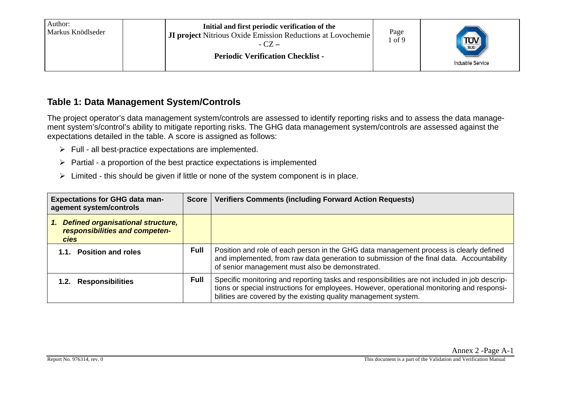#### **Table 1: Data Management System/Controls**

The project operator's data management system/controls are assessed to identify reporting risks and to assess the data management system's/control's ability to mitigate reporting risks. The GHG data management system/controls are assessed against the expectations detailed in the table. A score is assigned as follows:

- $\triangleright$  Full all best-practice expectations are implemented.
- $\triangleright$  Partial a proportion of the best practice expectations is implemented
- $\triangleright$  Limited this should be given if little or none of the system component is in place.

| <b>Expectations for GHG data man-</b><br>agement system/controls                                | <b>Score</b> | <b>Verifiers Comments (including Forward Action Requests)</b>                                                                                                                                                                                                  |
|-------------------------------------------------------------------------------------------------|--------------|----------------------------------------------------------------------------------------------------------------------------------------------------------------------------------------------------------------------------------------------------------------|
| <b>Defined organisational structure,</b><br>1.<br>responsibilities and competen-<br><b>cies</b> |              |                                                                                                                                                                                                                                                                |
| <b>Position and roles</b><br>1.1.                                                               | <b>Full</b>  | Position and role of each person in the GHG data management process is clearly defined<br>and implemented, from raw data generation to submission of the final data. Accountability<br>of senior management must also be demonstrated.                         |
| <b>Responsibilities</b>                                                                         | <b>Full</b>  | Specific monitoring and reporting tasks and responsibilities are not included in job descrip-<br>tions or special instructions for employees. However, operational monitoring and responsi-<br>bilities are covered by the existing quality management system. |

Annex 2 -Page A-1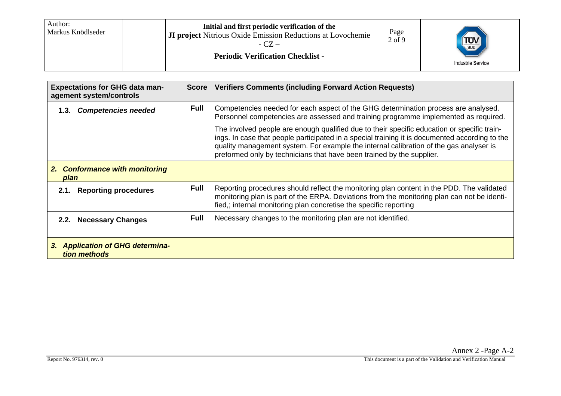| Author:<br>Markus Knödlseder | Initial and first periodic verification of the<br><b>JI project</b> Nitrious Oxide Emission Reductions at Lovochemie<br>$-CZ -$<br><b>Periodic Verification Checklist -</b> | Page<br>$2$ of $9$ | $\frac{100}{100}$<br><b>Industrie Service</b> |
|------------------------------|-----------------------------------------------------------------------------------------------------------------------------------------------------------------------------|--------------------|-----------------------------------------------|
|------------------------------|-----------------------------------------------------------------------------------------------------------------------------------------------------------------------------|--------------------|-----------------------------------------------|

| <b>Expectations for GHG data man-</b><br>agement system/controls | <b>Score</b> | <b>Verifiers Comments (including Forward Action Requests)</b>                                                                                                                                                                                                                                                                                                    |
|------------------------------------------------------------------|--------------|------------------------------------------------------------------------------------------------------------------------------------------------------------------------------------------------------------------------------------------------------------------------------------------------------------------------------------------------------------------|
| <b>Competencies needed</b><br>1.3.                               | <b>Full</b>  | Competencies needed for each aspect of the GHG determination process are analysed.<br>Personnel competencies are assessed and training programme implemented as required.                                                                                                                                                                                        |
|                                                                  |              | The involved people are enough qualified due to their specific education or specific train-<br>ings. In case that people participated in a special training it is documented according to the<br>quality management system. For example the internal calibration of the gas analyser is<br>preformed only by technicians that have been trained by the supplier. |
| 2. Conformance with monitoring<br>plan                           |              |                                                                                                                                                                                                                                                                                                                                                                  |
| <b>Reporting procedures</b><br>2.1.                              | <b>Full</b>  | Reporting procedures should reflect the monitoring plan content in the PDD. The validated<br>monitoring plan is part of the ERPA. Deviations from the monitoring plan can not be identi-<br>fied,; internal monitoring plan concretise the specific reporting                                                                                                    |
| 2.2. Necessary Changes                                           | <b>Full</b>  | Necessary changes to the monitoring plan are not identified.                                                                                                                                                                                                                                                                                                     |
| 3. Application of GHG determina-<br>tion methods                 |              |                                                                                                                                                                                                                                                                                                                                                                  |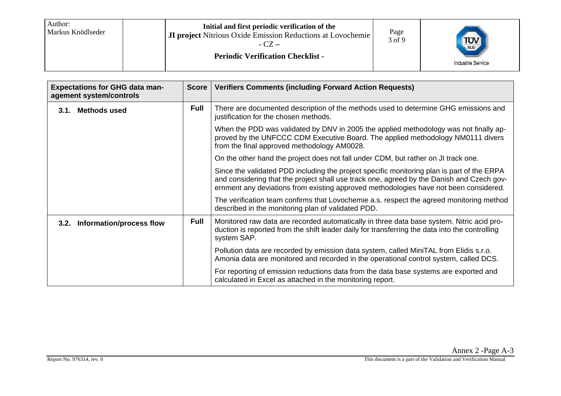| Author:<br>l Markus Knödlseder | Initial and first periodic verification of the<br><b>JI project</b> Nitrious Oxide Emission Reductions at Lovochemie<br>$-CZ -$<br><b>Periodic Verification Checklist -</b> | Page<br>3 of 9 | $\frac{1}{\sqrt{\frac{1}{50}}}$<br>Industrie Service |
|--------------------------------|-----------------------------------------------------------------------------------------------------------------------------------------------------------------------------|----------------|------------------------------------------------------|
|--------------------------------|-----------------------------------------------------------------------------------------------------------------------------------------------------------------------------|----------------|------------------------------------------------------|

| <b>Expectations for GHG data man-</b><br>agement system/controls | <b>Score</b> | <b>Verifiers Comments (including Forward Action Requests)</b>                                                                                                                                                                                                                    |
|------------------------------------------------------------------|--------------|----------------------------------------------------------------------------------------------------------------------------------------------------------------------------------------------------------------------------------------------------------------------------------|
| <b>Methods used</b><br>3.1.                                      | <b>Full</b>  | There are documented description of the methods used to determine GHG emissions and<br>justification for the chosen methods.                                                                                                                                                     |
|                                                                  |              | When the PDD was validated by DNV in 2005 the applied methodology was not finally ap-<br>proved by the UNFCCC CDM Executive Board. The applied methodology NM0111 divers<br>from the final approved methodology AM0028.                                                          |
|                                                                  |              | On the other hand the project does not fall under CDM, but rather on JI track one.                                                                                                                                                                                               |
|                                                                  |              | Since the validated PDD including the project specific monitoring plan is part of the ERPA<br>and considering that the project shall use track one, agreed by the Danish and Czech gov-<br>ernment any deviations from existing approved methodologies have not been considered. |
|                                                                  |              | The verification team confirms that Lovochemie a.s. respect the agreed monitoring method<br>described in the monitoring plan of validated PDD.                                                                                                                                   |
| 3.2. Information/process flow                                    | <b>Full</b>  | Monitored raw data are recorded automatically in three data base system. Nitric acid pro-<br>duction is reported from the shift leader daily for transferring the data into the controlling<br>system SAP.                                                                       |
|                                                                  |              | Pollution data are recorded by emission data system, called MiniTAL from Elidis s.r.o.<br>Amonia data are monitored and recorded in the operational control system, called DCS.                                                                                                  |
|                                                                  |              | For reporting of emission reductions data from the data base systems are exported and<br>calculated in Excel as attached in the monitoring report.                                                                                                                               |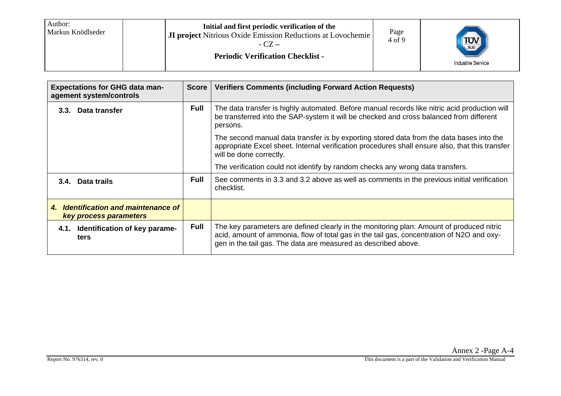| Author:<br>Initial and first periodic verification of the<br>Markus Knödlseder<br><b>JI project</b> Nitrious Oxide Emission Reductions at Lovochemie<br>$-CZ -$<br><b>Periodic Verification Checklist -</b> | Page<br>4 of 9 | $\frac{1}{\text{SUD}}$<br>Industrie Service |
|-------------------------------------------------------------------------------------------------------------------------------------------------------------------------------------------------------------|----------------|---------------------------------------------|
|-------------------------------------------------------------------------------------------------------------------------------------------------------------------------------------------------------------|----------------|---------------------------------------------|

| <b>Expectations for GHG data man-</b><br>agement system/controls         | <b>Score</b> | <b>Verifiers Comments (including Forward Action Requests)</b>                                                                                                                                                                                           |
|--------------------------------------------------------------------------|--------------|---------------------------------------------------------------------------------------------------------------------------------------------------------------------------------------------------------------------------------------------------------|
| Data transfer<br>3.3.                                                    | <b>Full</b>  | The data transfer is highly automated. Before manual records like nitric acid production will<br>be transferred into the SAP-system it will be checked and cross balanced from different<br>persons.                                                    |
|                                                                          |              | The second manual data transfer is by exporting stored data from the data bases into the<br>appropriate Excel sheet. Internal verification procedures shall ensure also, that this transfer<br>will be done correctly.                                  |
|                                                                          |              | The verification could not identify by random checks any wrong data transfers.                                                                                                                                                                          |
| 3.4. Data trails                                                         | <b>Full</b>  | See comments in 3.3 and 3.2 above as well as comments in the previous initial verification<br>checklist.                                                                                                                                                |
| <b>Identification and maintenance of</b><br>4.<br>key process parameters |              |                                                                                                                                                                                                                                                         |
| 4.1. Identification of key parame-<br>ters                               | <b>Full</b>  | The key parameters are defined clearly in the monitoring plan: Amount of produced nitric<br>acid, amount of ammonia, flow of total gas in the tail gas, concentration of N2O and oxy-<br>gen in the tail gas. The data are measured as described above. |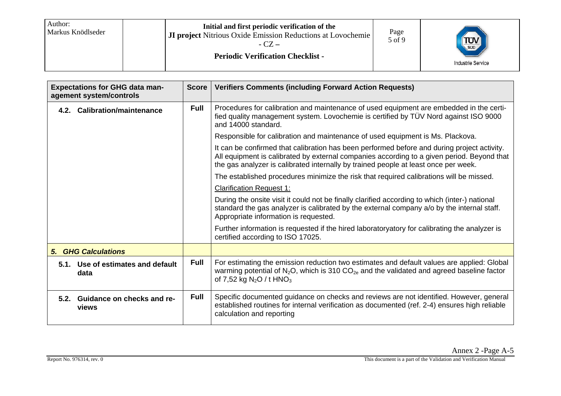| Author:<br>Initial and first periodic verification of the<br>Markus Knödlseder<br><b>JI project</b> Nitrious Oxide Emission Reductions at Lovochemie<br>$-CZ -$<br><b>Periodic Verification Checklist -</b> | Page<br>$5$ of $9$ | SUD<br>Industrie Service |
|-------------------------------------------------------------------------------------------------------------------------------------------------------------------------------------------------------------|--------------------|--------------------------|
|-------------------------------------------------------------------------------------------------------------------------------------------------------------------------------------------------------------|--------------------|--------------------------|

| <b>Expectations for GHG data man-</b><br>agement system/controls | <b>Score</b> | <b>Verifiers Comments (including Forward Action Requests)</b>                                                                                                                                                                                                                    |
|------------------------------------------------------------------|--------------|----------------------------------------------------------------------------------------------------------------------------------------------------------------------------------------------------------------------------------------------------------------------------------|
| 4.2. Calibration/maintenance                                     | <b>Full</b>  | Procedures for calibration and maintenance of used equipment are embedded in the certi-<br>fied quality management system. Lovochemie is certified by TÜV Nord against ISO 9000<br>and 14000 standard.                                                                           |
|                                                                  |              | Responsible for calibration and maintenance of used equipment is Ms. Plackova.                                                                                                                                                                                                   |
|                                                                  |              | It can be confirmed that calibration has been performed before and during project activity.<br>All equipment is calibrated by external companies according to a given period. Beyond that<br>the gas analyzer is calibrated internally by trained people at least once per week. |
|                                                                  |              | The established procedures minimize the risk that required calibrations will be missed.                                                                                                                                                                                          |
|                                                                  |              | <b>Clarification Request 1:</b>                                                                                                                                                                                                                                                  |
|                                                                  |              | During the onsite visit it could not be finally clarified according to which (inter-) national<br>standard the gas analyzer is calibrated by the external company a/o by the internal staff.<br>Appropriate information is requested.                                            |
|                                                                  |              | Further information is requested if the hired laboratoryatory for calibrating the analyzer is<br>certified according to ISO 17025.                                                                                                                                               |
| <b>5. GHG Calculations</b>                                       |              |                                                                                                                                                                                                                                                                                  |
| 5.1. Use of estimates and default<br>data                        | <b>Full</b>  | For estimating the emission reduction two estimates and default values are applied: Global<br>warming potential of $N_2O$ , which is 310 $CO_{2e}$ and the validated and agreed baseline factor<br>of 7,52 kg $N_2O / t$ HNO <sub>3</sub>                                        |
| 5.2. Guidance on checks and re-<br>views                         | <b>Full</b>  | Specific documented guidance on checks and reviews are not identified. However, general<br>established routines for internal verification as documented (ref. 2-4) ensures high reliable<br>calculation and reporting                                                            |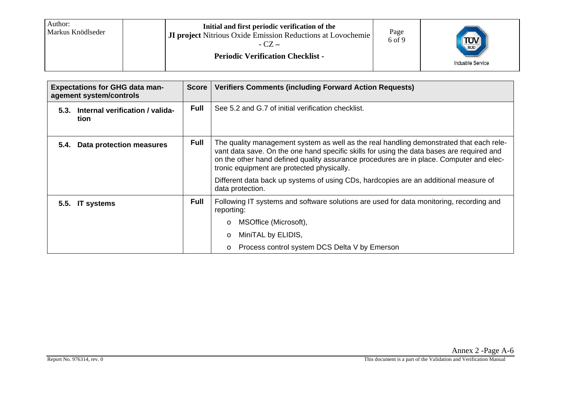| Author:<br>Markus Knödlseder | Initial and first periodic verification of the<br><b>JI project</b> Nitrious Oxide Emission Reductions at Lovochemie<br>$-CZ -$<br><b>Periodic Verification Checklist -</b> | Page<br>6 of 9 | SUD<br><b>Industrie Service</b> |
|------------------------------|-----------------------------------------------------------------------------------------------------------------------------------------------------------------------------|----------------|---------------------------------|
|------------------------------|-----------------------------------------------------------------------------------------------------------------------------------------------------------------------------|----------------|---------------------------------|

|      | <b>Expectations for GHG data man-</b><br>agement system/controls | <b>Score</b> | <b>Verifiers Comments (including Forward Action Requests)</b>                                                                                                                                                                                                                                                                 |  |
|------|------------------------------------------------------------------|--------------|-------------------------------------------------------------------------------------------------------------------------------------------------------------------------------------------------------------------------------------------------------------------------------------------------------------------------------|--|
| 5.3. | Internal verification / valida-<br>tion                          | <b>Full</b>  | See 5.2 and G.7 of initial verification checklist.                                                                                                                                                                                                                                                                            |  |
| 5.4. | <b>Data protection measures</b>                                  | <b>Full</b>  | The quality management system as well as the real handling demonstrated that each rele-<br>vant data save. On the one hand specific skills for using the data bases are required and<br>on the other hand defined quality assurance procedures are in place. Computer and elec-<br>tronic equipment are protected physically. |  |
|      |                                                                  |              | Different data back up systems of using CDs, hardcopies are an additional measure of<br>data protection.                                                                                                                                                                                                                      |  |
|      | 5.5. IT systems                                                  | <b>Full</b>  | Following IT systems and software solutions are used for data monitoring, recording and<br>reporting:                                                                                                                                                                                                                         |  |
|      |                                                                  |              | MSOffice (Microsoft),<br>$\circ$                                                                                                                                                                                                                                                                                              |  |
|      |                                                                  |              | MiniTAL by ELIDIS,<br>$\circ$                                                                                                                                                                                                                                                                                                 |  |
|      |                                                                  |              | Process control system DCS Delta V by Emerson<br>$\circ$                                                                                                                                                                                                                                                                      |  |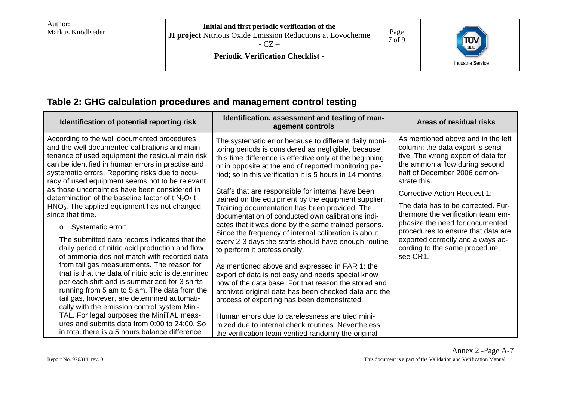| Author:<br>Markus Knödlseder | Initial and first periodic verification of the<br><b>JI project</b> Nitrious Oxide Emission Reductions at Lovochemie<br>- CZ –<br><b>Periodic Verification Checklist -</b> | Page<br>7 of 9 | SUD<br><b>Industrie Service</b> |
|------------------------------|----------------------------------------------------------------------------------------------------------------------------------------------------------------------------|----------------|---------------------------------|
|------------------------------|----------------------------------------------------------------------------------------------------------------------------------------------------------------------------|----------------|---------------------------------|

## **Table 2: GHG calculation procedures and management control testing**

| Identification of potential reporting risk                                                                                                                                                                                                                                                                   | Identification, assessment and testing of man-<br>agement controls                                                                                                                                                                                                                           | Areas of residual risks                                                                                                                                                                         |
|--------------------------------------------------------------------------------------------------------------------------------------------------------------------------------------------------------------------------------------------------------------------------------------------------------------|----------------------------------------------------------------------------------------------------------------------------------------------------------------------------------------------------------------------------------------------------------------------------------------------|-------------------------------------------------------------------------------------------------------------------------------------------------------------------------------------------------|
| According to the well documented procedures<br>and the well documented calibrations and main-<br>tenance of used equipment the residual main risk<br>can be identified in human errors in practise and<br>systematic errors. Reporting risks due to accu-<br>racy of used equipment seems not to be relevant | The systematic error because to different daily moni-<br>toring periods is considered as negligible, because<br>this time difference is effective only at the beginning<br>or in opposite at the end of reported monitoring pe-<br>riod; so in this verification it is 5 hours in 14 months. | As mentioned above and in the left<br>column: the data export is sensi-<br>tive. The wrong export of data for<br>the ammonia flow during second<br>half of December 2006 demon-<br>strate this. |
| as those uncertainties have been considered in<br>determination of the baseline factor of t $N_2O/t$                                                                                                                                                                                                         | Staffs that are responsible for internal have been<br>trained on the equipment by the equipment supplier.                                                                                                                                                                                    | <b>Corrective Action Request 1:</b>                                                                                                                                                             |
| HNO <sub>3</sub> . The applied equipment has not changed<br>since that time.                                                                                                                                                                                                                                 | Training documentation has been provided. The<br>documentation of conducted own calibrations indi-                                                                                                                                                                                           | The data has to be corrected. Fur-<br>thermore the verification team em-                                                                                                                        |
| Systematic error:<br>$\circ$                                                                                                                                                                                                                                                                                 | cates that it was done by the same trained persons.<br>Since the frequency of internal calibration is about                                                                                                                                                                                  | phasize the need for documented<br>procedures to ensure that data are                                                                                                                           |
| The submitted data records indicates that the<br>daily period of nitric acid production and flow<br>of ammonia dos not match with recorded data                                                                                                                                                              | every 2-3 days the staffs should have enough routine<br>to perform it professionally.                                                                                                                                                                                                        | exported correctly and always ac-<br>cording to the same procedure,<br>see CR1.                                                                                                                 |
| from tail gas measurements. The reason for<br>that is that the data of nitric acid is determined                                                                                                                                                                                                             | As mentioned above and expressed in FAR 1: the<br>export of data is not easy and needs special know                                                                                                                                                                                          |                                                                                                                                                                                                 |
| per each shift and is summarized for 3 shifts<br>running from 5 am to 5 am. The data from the                                                                                                                                                                                                                | how of the data base. For that reason the stored and<br>archived original data has been checked data and the                                                                                                                                                                                 |                                                                                                                                                                                                 |
| tail gas, however, are determined automati-<br>cally with the emission control system Mini-                                                                                                                                                                                                                  | process of exporting has been demonstrated.                                                                                                                                                                                                                                                  |                                                                                                                                                                                                 |
| TAL. For legal purposes the MiniTAL meas-<br>ures and submits data from 0:00 to 24:00. So                                                                                                                                                                                                                    | Human errors due to carelessness are tried mini-<br>mized due to internal check routines. Nevertheless                                                                                                                                                                                       |                                                                                                                                                                                                 |
| in total there is a 5 hours balance difference                                                                                                                                                                                                                                                               | the verification team verified randomly the original                                                                                                                                                                                                                                         |                                                                                                                                                                                                 |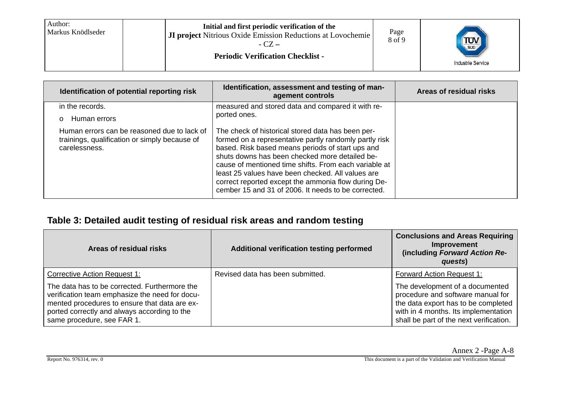| Author:<br>l Markus Knödlseder | Initial and first periodic verification of the<br><b>JI project</b> Nitrious Oxide Emission Reductions at Lovochemie<br>$-CZ -$<br><b>Periodic Verification Checklist -</b> | Page<br>8 of 9 | $\frac{1}{\sqrt{\frac{1}{500}}}$<br>Industrie Service |
|--------------------------------|-----------------------------------------------------------------------------------------------------------------------------------------------------------------------------|----------------|-------------------------------------------------------|
|--------------------------------|-----------------------------------------------------------------------------------------------------------------------------------------------------------------------------|----------------|-------------------------------------------------------|

| Identification of potential reporting risk                                                                    | Identification, assessment and testing of man-<br>agement controls                                                                                                                                                                                                                                                                                                                                                                            | Areas of residual risks |
|---------------------------------------------------------------------------------------------------------------|-----------------------------------------------------------------------------------------------------------------------------------------------------------------------------------------------------------------------------------------------------------------------------------------------------------------------------------------------------------------------------------------------------------------------------------------------|-------------------------|
| in the records.                                                                                               | measured and stored data and compared it with re-                                                                                                                                                                                                                                                                                                                                                                                             |                         |
| Human errors<br>$\Omega$                                                                                      | ported ones.                                                                                                                                                                                                                                                                                                                                                                                                                                  |                         |
| Human errors can be reasoned due to lack of<br>trainings, qualification or simply because of<br>carelessness. | The check of historical stored data has been per-<br>formed on a representative partly randomly partly risk<br>based. Risk based means periods of start ups and<br>shuts downs has been checked more detailed be-<br>cause of mentioned time shifts. From each variable at<br>least 25 values have been checked. All values are<br>correct reported except the ammonia flow during De-<br>cember 15 and 31 of 2006. It needs to be corrected. |                         |

## **Table 3: Detailed audit testing of residual risk areas and random testing**

| Areas of residual risks                                                                                                                                                                                                        | Additional verification testing performed | <b>Conclusions and Areas Requiring</b><br>Improvement<br>(including Forward Action Re-<br>quests)                                                                                              |
|--------------------------------------------------------------------------------------------------------------------------------------------------------------------------------------------------------------------------------|-------------------------------------------|------------------------------------------------------------------------------------------------------------------------------------------------------------------------------------------------|
| <b>Corrective Action Request 1:</b>                                                                                                                                                                                            | Revised data has been submitted.          | <b>Forward Action Request 1:</b>                                                                                                                                                               |
| The data has to be corrected. Furthermore the<br>verification team emphasize the need for docu-<br>mented procedures to ensure that data are ex-<br>ported correctly and always according to the<br>same procedure, see FAR 1. |                                           | The development of a documented<br>procedure and software manual for<br>the data export has to be completed<br>with in 4 months. Its implementation<br>shall be part of the next verification. |